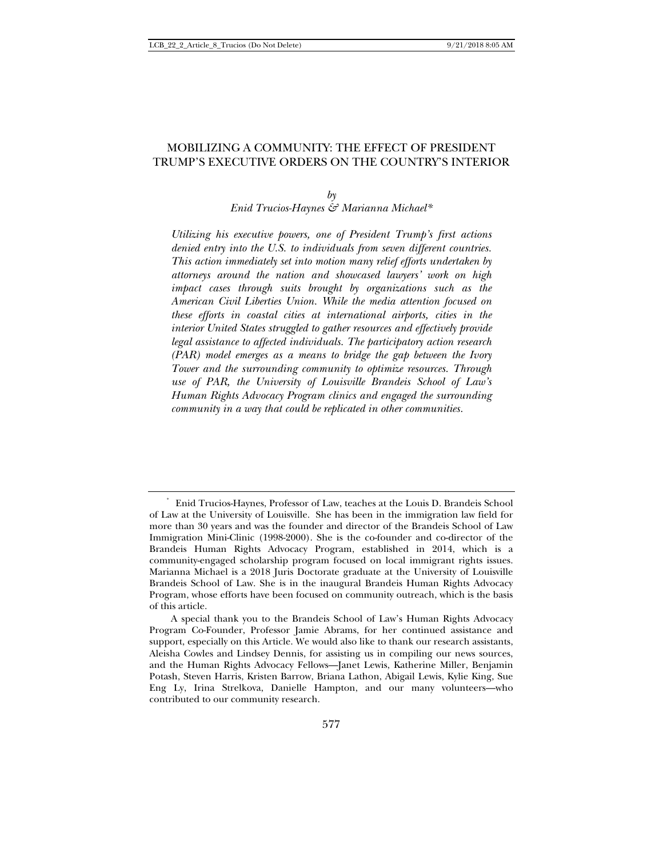# MOBILIZING A COMMUNITY: THE EFFECT OF PRESIDENT TRUMP'S EXECUTIVE ORDERS ON THE COUNTRY'S INTERIOR

### $b\gamma$

*Enid Trucios-Haynes & Marianna Michael\** 

*Utilizing his executive powers, one of President Trump's first actions denied entry into the U.S. to individuals from seven different countries. This action immediately set into motion many relief efforts undertaken by attorneys around the nation and showcased lawyers' work on high impact cases through suits brought by organizations such as the American Civil Liberties Union. While the media attention focused on these efforts in coastal cities at international airports, cities in the interior United States struggled to gather resources and effectively provide legal assistance to affected individuals. The participatory action research (PAR) model emerges as a means to bridge the gap between the Ivory Tower and the surrounding community to optimize resources. Through use of PAR, the University of Louisville Brandeis School of Law's Human Rights Advocacy Program clinics and engaged the surrounding community in a way that could be replicated in other communities.* 

<sup>\*</sup> Enid Trucios-Haynes, Professor of Law, teaches at the Louis D. Brandeis School of Law at the University of Louisville. She has been in the immigration law field for more than 30 years and was the founder and director of the Brandeis School of Law Immigration Mini-Clinic (1998-2000). She is the co-founder and co-director of the Brandeis Human Rights Advocacy Program, established in 2014, which is a community-engaged scholarship program focused on local immigrant rights issues. Marianna Michael is a 2018 Juris Doctorate graduate at the University of Louisville Brandeis School of Law. She is in the inaugural Brandeis Human Rights Advocacy Program, whose efforts have been focused on community outreach, which is the basis of this article.

A special thank you to the Brandeis School of Law's Human Rights Advocacy Program Co-Founder, Professor Jamie Abrams, for her continued assistance and support, especially on this Article. We would also like to thank our research assistants, Aleisha Cowles and Lindsey Dennis, for assisting us in compiling our news sources, and the Human Rights Advocacy Fellows—Janet Lewis, Katherine Miller, Benjamin Potash, Steven Harris, Kristen Barrow, Briana Lathon, Abigail Lewis, Kylie King, Sue Eng Ly, Irina Strelkova, Danielle Hampton, and our many volunteers—who contributed to our community research.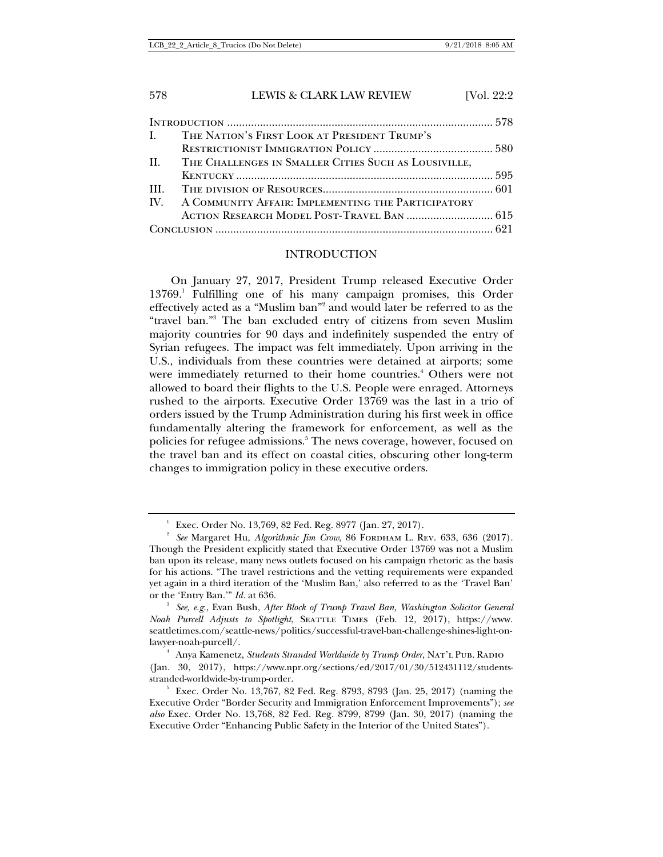LCB\_22\_2\_Article\_8\_Trucios (Do Not Delete) 9/21/2018 8:05 AM

# 578 LEWIS & CLARK LAW REVIEW [Vol. 22:2]

|  | I. THE NATION'S FIRST LOOK AT PRESIDENT TRUMP'S          |  |
|--|----------------------------------------------------------|--|
|  |                                                          |  |
|  | II. THE CHALLENGES IN SMALLER CITIES SUCH AS LOUSIVILLE, |  |
|  |                                                          |  |
|  |                                                          |  |
|  | IV. A COMMUNITY AFFAIR: IMPLEMENTING THE PARTICIPATORY   |  |
|  |                                                          |  |
|  |                                                          |  |

### INTRODUCTION

On January 27, 2017, President Trump released Executive Order 13769.<sup>1</sup> Fulfilling one of his many campaign promises, this Order effectively acted as a "Muslim ban"<sup>2</sup> and would later be referred to as the "travel ban."3 The ban excluded entry of citizens from seven Muslim majority countries for 90 days and indefinitely suspended the entry of Syrian refugees. The impact was felt immediately. Upon arriving in the U.S., individuals from these countries were detained at airports; some were immediately returned to their home countries.<sup>4</sup> Others were not allowed to board their flights to the U.S. People were enraged. Attorneys rushed to the airports. Executive Order 13769 was the last in a trio of orders issued by the Trump Administration during his first week in office fundamentally altering the framework for enforcement, as well as the policies for refugee admissions.<sup>5</sup> The news coverage, however, focused on the travel ban and its effect on coastal cities, obscuring other long-term changes to immigration policy in these executive orders.

<sup>&</sup>lt;sup>1</sup> Exec. Order No. 13,769, 82 Fed. Reg. 8977 (Jan. 27, 2017).

<sup>&</sup>lt;sup>2</sup> See Margaret Hu, *Algorithmic Jim Crow*, 86 FORDHAM L. REV. 633, 636 (2017). Though the President explicitly stated that Executive Order 13769 was not a Muslim ban upon its release, many news outlets focused on his campaign rhetoric as the basis for his actions. "The travel restrictions and the vetting requirements were expanded yet again in a third iteration of the 'Muslim Ban,' also referred to as the 'Travel Ban' or the 'Entry Ban.'" *Id.* at 636.

*See, e.g.*, Evan Bush, *After Block of Trump Travel Ban, Washington Solicitor General Noah Purcell Adjusts to Spotlight*, SEATTLE TIMES (Feb. 12, 2017), https://www. seattletimes.com/seattle-news/politics/successful-travel-ban-challenge-shines-light-onlawyer-noah-purcell/. 4

<sup>&</sup>lt;sup>4</sup> Anya Kamenetz, *Students Stranded Worldwide by Trump Order*, NAT'L PUB. RADIO (Jan. 30, 2017), https://www.npr.org/sections/ed/2017/01/30/512431112/studentsstranded-worldwide-by-trump-order. 5

 $5$  Exec. Order No. 13,767, 82 Fed. Reg. 8793, 8793 (Jan. 25, 2017) (naming the Executive Order "Border Security and Immigration Enforcement Improvements"); *see also* Exec. Order No. 13,768, 82 Fed. Reg. 8799, 8799 (Jan. 30, 2017) (naming the Executive Order "Enhancing Public Safety in the Interior of the United States").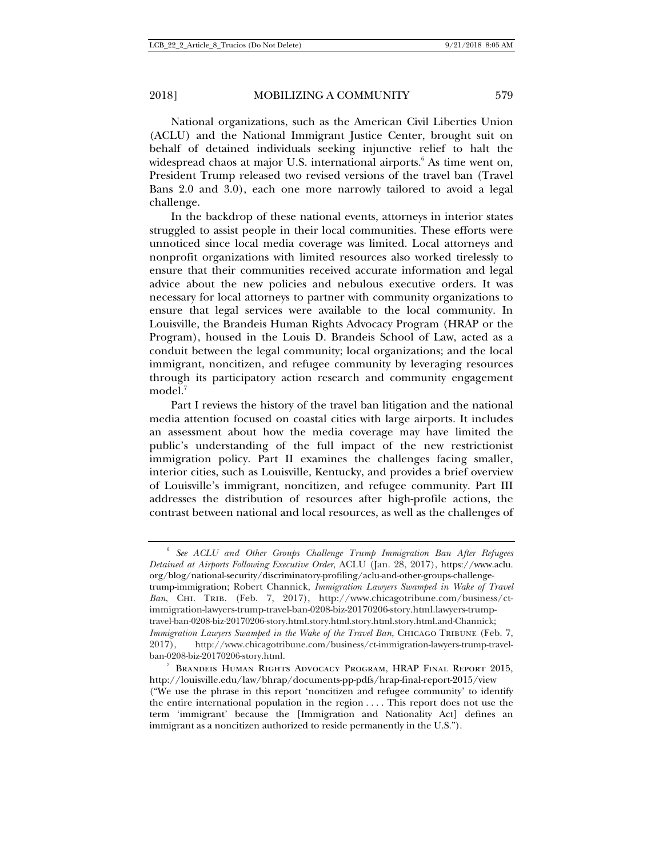National organizations, such as the American Civil Liberties Union (ACLU) and the National Immigrant Justice Center, brought suit on behalf of detained individuals seeking injunctive relief to halt the widespread chaos at major U.S. international airports.<sup>6</sup> As time went on, President Trump released two revised versions of the travel ban (Travel Bans 2.0 and 3.0), each one more narrowly tailored to avoid a legal challenge.

In the backdrop of these national events, attorneys in interior states struggled to assist people in their local communities. These efforts were unnoticed since local media coverage was limited. Local attorneys and nonprofit organizations with limited resources also worked tirelessly to ensure that their communities received accurate information and legal advice about the new policies and nebulous executive orders. It was necessary for local attorneys to partner with community organizations to ensure that legal services were available to the local community. In Louisville, the Brandeis Human Rights Advocacy Program (HRAP or the Program), housed in the Louis D. Brandeis School of Law, acted as a conduit between the legal community; local organizations; and the local immigrant, noncitizen, and refugee community by leveraging resources through its participatory action research and community engagement model.<sup>7</sup>

Part I reviews the history of the travel ban litigation and the national media attention focused on coastal cities with large airports. It includes an assessment about how the media coverage may have limited the public's understanding of the full impact of the new restrictionist immigration policy. Part II examines the challenges facing smaller, interior cities, such as Louisville, Kentucky, and provides a brief overview of Louisville's immigrant, noncitizen, and refugee community. Part III addresses the distribution of resources after high-profile actions, the contrast between national and local resources, as well as the challenges of

<sup>6</sup> *See ACLU and Other Groups Challenge Trump Immigration Ban After Refugees Detained at Airports Following Executive Order*, ACLU (Jan. 28, 2017), https://www.aclu. org/blog/national-security/discriminatory-profiling/aclu-and-other-groups-challengetrump-immigration; Robert Channick, *Immigration Lawyers Swamped in Wake of Travel*  Ban, CHI. TRIB. (Feb. 7, 2017), http://www.chicagotribune.com/business/ctimmigration-lawyers-trump-travel-ban-0208-biz-20170206-story.html.lawyers-trumptravel-ban-0208-biz-20170206-story.html.story.html.story.html.story.html.and-Channick; *Immigration Lawyers Swamped in the Wake of the Travel Ban*, CHICAGO TRIBUNE (Feb. 7, 2017), http://www.chicagotribune.com/business/ct-immigration-lawyers-trump-travelban-0208-biz-20170206-story.html.

<sup>7</sup> Brandeis Human Rights Advocacy Program, HRAP Final Report 2015, http://louisville.edu/law/bhrap/documents-pp-pdfs/hrap-final-report-2015/view ("We use the phrase in this report 'noncitizen and refugee community' to identify the entire international population in the region . . . . This report does not use the term 'immigrant' because the [Immigration and Nationality Act] defines an immigrant as a noncitizen authorized to reside permanently in the U.S.").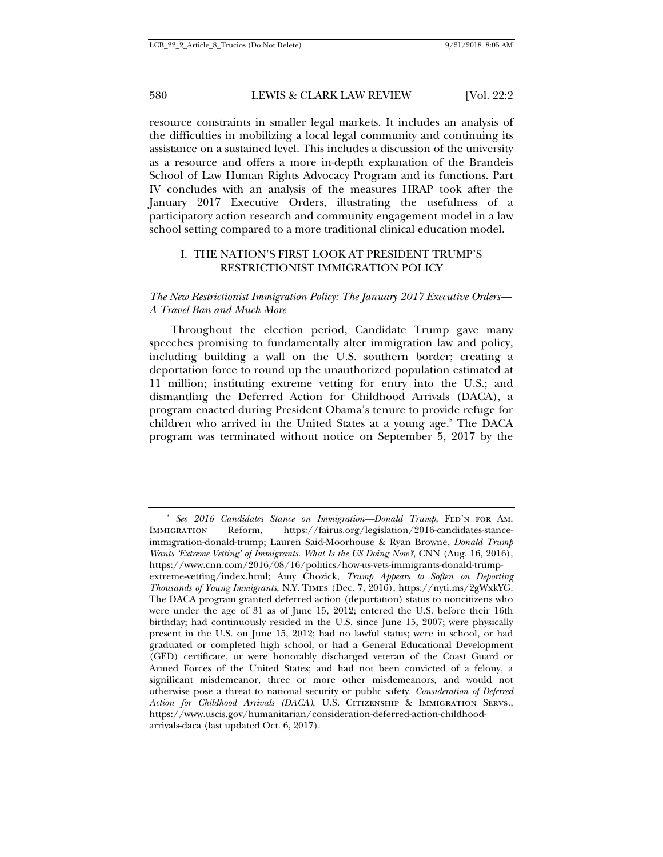resource constraints in smaller legal markets. It includes an analysis of the difficulties in mobilizing a local legal community and continuing its assistance on a sustained level. This includes a discussion of the university as a resource and offers a more in-depth explanation of the Brandeis School of Law Human Rights Advocacy Program and its functions. Part IV concludes with an analysis of the measures HRAP took after the January 2017 Executive Orders, illustrating the usefulness of a participatory action research and community engagement model in a law school setting compared to a more traditional clinical education model.

## I. THE NATION'S FIRST LOOK AT PRESIDENT TRUMP'S RESTRICTIONIST IMMIGRATION POLICY

## *The New Restrictionist Immigration Policy: The January 2017 Executive Orders— A Travel Ban and Much More*

Throughout the election period, Candidate Trump gave many speeches promising to fundamentally alter immigration law and policy, including building a wall on the U.S. southern border; creating a deportation force to round up the unauthorized population estimated at 11 million; instituting extreme vetting for entry into the U.S.; and dismantling the Deferred Action for Childhood Arrivals (DACA), a program enacted during President Obama's tenure to provide refuge for children who arrived in the United States at a young age.<sup>8</sup> The DACA program was terminated without notice on September 5, 2017 by the

<sup>&</sup>lt;sup>8</sup> See 2016 Candidates Stance on Immigration—Donald Trump, FED'N FOR AM. Immigration Reform, https://fairus.org/legislation/2016-candidates-stanceimmigration-donald-trump; Lauren Said-Moorhouse & Ryan Browne, *Donald Trump Wants 'Extreme Vetting' of Immigrants. What Is the US Doing Now?*, CNN (Aug. 16, 2016), https://www.cnn.com/2016/08/16/politics/how-us-vets-immigrants-donald-trumpextreme-vetting/index.html; Amy Chozick, *Trump Appears to Soften on Deporting Thousands of Young Immigrants*, N.Y. Times (Dec. 7, 2016), https://nyti.ms/2gWxkYG. The DACA program granted deferred action (deportation) status to noncitizens who were under the age of 31 as of June 15, 2012; entered the U.S. before their 16th birthday; had continuously resided in the U.S. since June 15, 2007; were physically present in the U.S. on June 15, 2012; had no lawful status; were in school, or had graduated or completed high school, or had a General Educational Development (GED) certificate, or were honorably discharged veteran of the Coast Guard or Armed Forces of the United States; and had not been convicted of a felony, a significant misdemeanor, three or more other misdemeanors, and would not otherwise pose a threat to national security or public safety. *Consideration of Deferred Action for Childhood Arrivals (DACA)*, U.S. Citizenship & Immigration Servs., https://www.uscis.gov/humanitarian/consideration-deferred-action-childhoodarrivals-daca (last updated Oct. 6, 2017).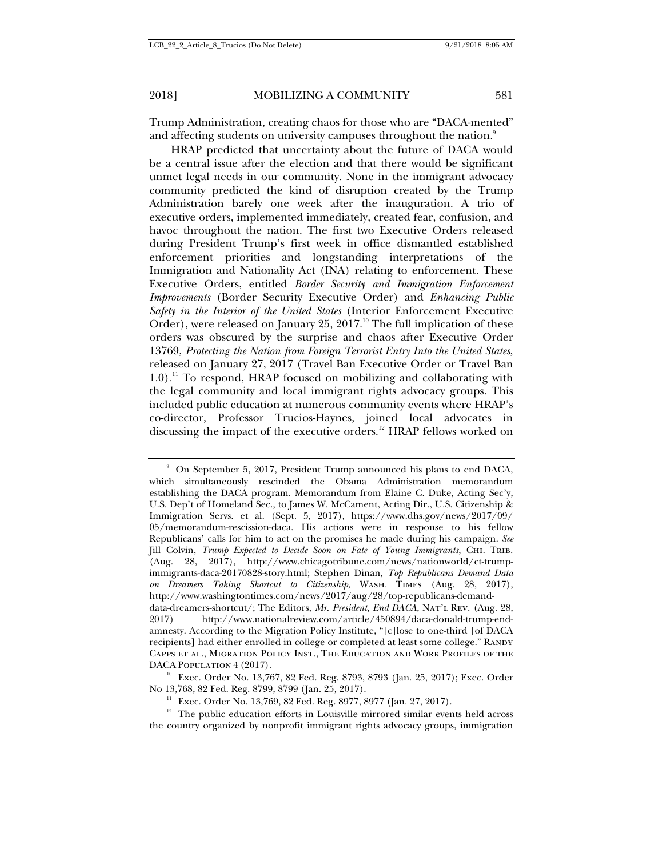Trump Administration, creating chaos for those who are "DACA-mented" and affecting students on university campuses throughout the nation. $^9$ 

HRAP predicted that uncertainty about the future of DACA would be a central issue after the election and that there would be significant unmet legal needs in our community. None in the immigrant advocacy community predicted the kind of disruption created by the Trump Administration barely one week after the inauguration. A trio of executive orders, implemented immediately, created fear, confusion, and havoc throughout the nation. The first two Executive Orders released during President Trump's first week in office dismantled established enforcement priorities and longstanding interpretations of the Immigration and Nationality Act (INA) relating to enforcement. These Executive Orders, entitled *Border Security and Immigration Enforcement Improvements* (Border Security Executive Order) and *Enhancing Public Safety in the Interior of the United States* (Interior Enforcement Executive Order), were released on January  $25$ ,  $2017<sup>10</sup>$  The full implication of these orders was obscured by the surprise and chaos after Executive Order 13769, *Protecting the Nation from Foreign Terrorist Entry Into the United States*, released on January 27, 2017 (Travel Ban Executive Order or Travel Ban 1.0).<sup>11</sup> To respond, HRAP focused on mobilizing and collaborating with the legal community and local immigrant rights advocacy groups. This included public education at numerous community events where HRAP's co-director, Professor Trucios-Haynes, joined local advocates in discussing the impact of the executive orders.<sup>12</sup> HRAP fellows worked on

<sup>9</sup> On September 5, 2017, President Trump announced his plans to end DACA, which simultaneously rescinded the Obama Administration memorandum establishing the DACA program. Memorandum from Elaine C. Duke, Acting Sec'y, U.S. Dep't of Homeland Sec., to James W. McCament, Acting Dir., U.S. Citizenship & Immigration Servs. et al. (Sept. 5, 2017), https://www.dhs.gov/news/2017/09/ 05/memorandum-rescission-daca. His actions were in response to his fellow Republicans' calls for him to act on the promises he made during his campaign. *See*  Jill Colvin, *Trump Expected to Decide Soon on Fate of Young Immigrants*, Chi. Trib. (Aug. 28, 2017), http://www.chicagotribune.com/news/nationworld/ct-trumpimmigrants-daca-20170828-story.html; Stephen Dinan, *Top Republicans Demand Data on Dreamers Taking Shortcut to Citizenship*, Wash. Times (Aug. 28, 2017), http://www.washingtontimes.com/news/2017/aug/28/top-republicans-demand-

data-dreamers-shortcut/; The Editors, *Mr. President, End DACA*, Nat'l Rev. (Aug. 28, 2017) http://www.nationalreview.com/article/450894/daca-donald-trump-endamnesty. According to the Migration Policy Institute, "[c]lose to one-third [of DACA recipients] had either enrolled in college or completed at least some college." Randy Capps et al., Migration Policy Inst., The Education and Work Profiles of the

DACA POPULATION 4 (2017).<br><sup>10</sup> Exec. Order No. 13,767, 82 Fed. Reg. 8793, 8793 (Jan. 25, 2017); Exec. Order No 13,768, 82 Fed. Reg. 8799, 8799 (Jan. 25, 2017).

<sup>&</sup>lt;sup>11</sup> Exec. Order No. 13,769, 82 Fed. Reg. 8977, 8977 (Jan. 27, 2017).<br><sup>12</sup> The public education efforts in Louisville mirrored similar events held across the country organized by nonprofit immigrant rights advocacy groups, immigration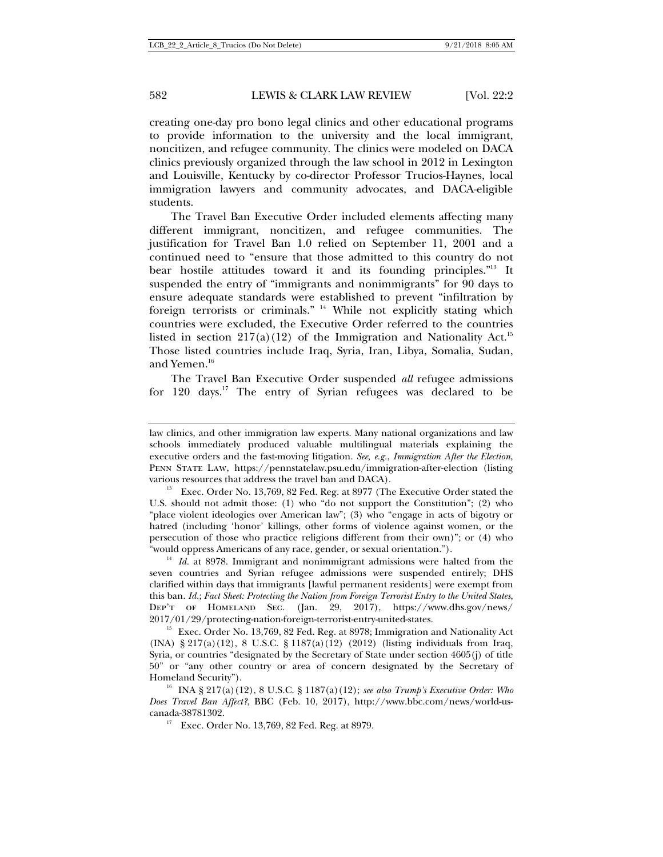creating one-day pro bono legal clinics and other educational programs to provide information to the university and the local immigrant, noncitizen, and refugee community. The clinics were modeled on DACA clinics previously organized through the law school in 2012 in Lexington and Louisville, Kentucky by co-director Professor Trucios-Haynes, local immigration lawyers and community advocates, and DACA-eligible students.

The Travel Ban Executive Order included elements affecting many different immigrant, noncitizen, and refugee communities. The justification for Travel Ban 1.0 relied on September 11, 2001 and a continued need to "ensure that those admitted to this country do not bear hostile attitudes toward it and its founding principles."13 It suspended the entry of "immigrants and nonimmigrants" for 90 days to ensure adequate standards were established to prevent "infiltration by foreign terrorists or criminals." 14 While not explicitly stating which countries were excluded, the Executive Order referred to the countries listed in section  $217(a)(12)$  of the Immigration and Nationality Act.<sup>15</sup> Those listed countries include Iraq, Syria, Iran, Libya, Somalia, Sudan, and Yemen.<sup>16</sup>

The Travel Ban Executive Order suspended *all* refugee admissions for 120 days.<sup>17</sup> The entry of Syrian refugees was declared to be

law clinics, and other immigration law experts. Many national organizations and law schools immediately produced valuable multilingual materials explaining the executive orders and the fast-moving litigation. *See, e.g.*, *Immigration After the Election*, Penn State Law, https://pennstatelaw.psu.edu/immigration-after-election (listing

various resources that address the travel ban and DACA).<br><sup>13</sup> Exec. Order No. 13,769, 82 Fed. Reg. at 8977 (The Executive Order stated the U.S. should not admit those: (1) who "do not support the Constitution"; (2) who "place violent ideologies over American law"; (3) who "engage in acts of bigotry or hatred (including 'honor' killings, other forms of violence against women, or the persecution of those who practice religions different from their own)"; or (4) who "would oppress Americans of any race, gender, or sexual orientation."). 14 *Id.* at 8978. Immigrant and nonimmigrant admissions were halted from the

seven countries and Syrian refugee admissions were suspended entirely; DHS clarified within days that immigrants [lawful permanent residents] were exempt from this ban. *Id.*; *Fact Sheet: Protecting the Nation from Foreign Terrorist Entry to the United States*, Dep't of Homeland Sec. (Jan. 29, 2017), https://www.dhs.gov/news/  $2017/01/29$ /protecting-nation-foreign-terrorist-entry-united-states.<br><sup>15</sup> Exec. Order No. 13,769, 82 Fed. Reg. at 8978; Immigration and Nationality Act

<sup>(</sup>INA) § 217(a)(12), 8 U.S.C. § 1187(a)(12) (2012) (listing individuals from Iraq, Syria, or countries "designated by the Secretary of State under section 4605(j) of title 50" or "any other country or area of concern designated by the Secretary of Homeland Security"). 16 INA § 217(a)(12), 8 U.S.C. § 1187(a)(12); *see also Trump's Executive Order: Who* 

*Does Travel Ban Affect?*, BBC (Feb. 10, 2017), http://www.bbc.com/news/world-uscanada-38781302. 17 Exec. Order No. 13,769, 82 Fed. Reg. at 8979.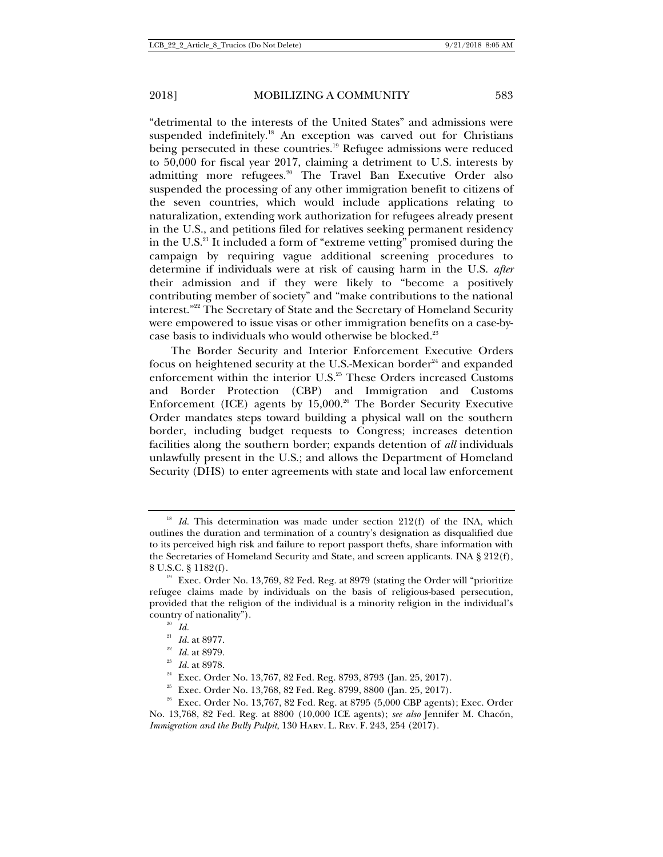"detrimental to the interests of the United States" and admissions were suspended indefinitely.<sup>18</sup> An exception was carved out for Christians being persecuted in these countries.<sup>19</sup> Refugee admissions were reduced to 50,000 for fiscal year 2017, claiming a detriment to U.S. interests by admitting more refugees.<sup>20</sup> The Travel Ban Executive Order also suspended the processing of any other immigration benefit to citizens of the seven countries, which would include applications relating to naturalization, extending work authorization for refugees already present in the U.S., and petitions filed for relatives seeking permanent residency in the U.S.<sup>21</sup> It included a form of "extreme vetting" promised during the campaign by requiring vague additional screening procedures to determine if individuals were at risk of causing harm in the U.S. *after* their admission and if they were likely to "become a positively contributing member of society" and "make contributions to the national interest."22 The Secretary of State and the Secretary of Homeland Security were empowered to issue visas or other immigration benefits on a case-bycase basis to individuals who would otherwise be blocked.<sup>23</sup>

The Border Security and Interior Enforcement Executive Orders focus on heightened security at the U.S.-Mexican border $24$  and expanded enforcement within the interior U.S.<sup>25</sup> These Orders increased Customs and Border Protection (CBP) and Immigration and Customs Enforcement (ICE) agents by  $15,000$ .<sup>26</sup> The Border Security Executive Order mandates steps toward building a physical wall on the southern border, including budget requests to Congress; increases detention facilities along the southern border; expands detention of *all* individuals unlawfully present in the U.S.; and allows the Department of Homeland Security (DHS) to enter agreements with state and local law enforcement

<sup>&</sup>lt;sup>18</sup> *Id.* This determination was made under section 212(f) of the INA, which outlines the duration and termination of a country's designation as disqualified due to its perceived high risk and failure to report passport thefts, share information with the Secretaries of Homeland Security and State, and screen applicants. INA § 212(f),

<sup>8</sup> U.S.C. § 1182(f).<br><sup>19</sup> Exec. Order No. 13,769, 82 Fed. Reg. at 8979 (stating the Order will "prioritize refugee claims made by individuals on the basis of religious-based persecution, provided that the religion of the individual is a minority religion in the individual's country of nationality").<br>
<sup>20</sup> *Id.*<br>
<sup>21</sup> *Id.* at 8977.

<sup>&</sup>lt;sup>22</sup> *Id.* at 8979.<br><sup>23</sup> *Id.* at 8978.<br><sup>24</sup> Exec. Order No. 13,767, 82 Fed. Reg. 8793, 8793 (Jan. 25, 2017).<br><sup>25</sup> Exec. Order No. 13,768, 82 Fed. Reg. 8799, 8800 (Jan. 25, 2017).<br><sup>26</sup> Exec. Order No. 13,767, 82 Fed. Reg. No. 13,768, 82 Fed. Reg. at 8800 (10,000 ICE agents); *see also* Jennifer M. Chacón, *Immigration and the Bully Pulpit*, 130 Harv. L. Rev. F. 243, 254 (2017).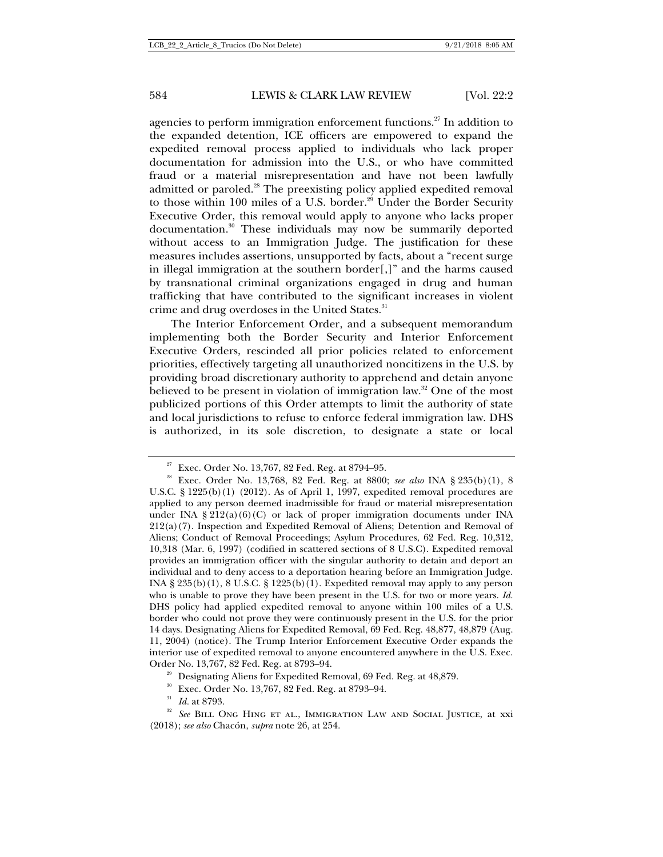agencies to perform immigration enforcement functions.<sup>27</sup> In addition to the expanded detention, ICE officers are empowered to expand the expedited removal process applied to individuals who lack proper documentation for admission into the U.S., or who have committed fraud or a material misrepresentation and have not been lawfully admitted or paroled.<sup>28</sup> The preexisting policy applied expedited removal to those within 100 miles of a U.S. border.<sup>29</sup> Under the Border Security Executive Order, this removal would apply to anyone who lacks proper documentation.<sup>30</sup> These individuals may now be summarily deported without access to an Immigration Judge. The justification for these measures includes assertions, unsupported by facts, about a "recent surge in illegal immigration at the southern border[,]" and the harms caused by transnational criminal organizations engaged in drug and human trafficking that have contributed to the significant increases in violent crime and drug overdoses in the United States.<sup>31</sup>

The Interior Enforcement Order, and a subsequent memorandum implementing both the Border Security and Interior Enforcement Executive Orders, rescinded all prior policies related to enforcement priorities, effectively targeting all unauthorized noncitizens in the U.S. by providing broad discretionary authority to apprehend and detain anyone believed to be present in violation of immigration law.<sup>32</sup> One of the most publicized portions of this Order attempts to limit the authority of state and local jurisdictions to refuse to enforce federal immigration law. DHS is authorized, in its sole discretion, to designate a state or local

<sup>27</sup> Exec. Order No. 13,767, 82 Fed. Reg. at 8794–95. 28 Exec. Order No. 13,768, 82 Fed. Reg. at 8800; *see also* INA § 235(b)(1), 8 U.S.C. § 1225(b)(1) (2012). As of April 1, 1997, expedited removal procedures are applied to any person deemed inadmissible for fraud or material misrepresentation under INA §  $212(a)(6)(C)$  or lack of proper immigration documents under INA 212(a)(7). Inspection and Expedited Removal of Aliens; Detention and Removal of Aliens; Conduct of Removal Proceedings; Asylum Procedures, 62 Fed. Reg. 10,312, 10,318 (Mar. 6, 1997) (codified in scattered sections of 8 U.S.C). Expedited removal provides an immigration officer with the singular authority to detain and deport an individual and to deny access to a deportation hearing before an Immigration Judge. INA  $\S 235(b)(1)$ , 8 U.S.C.  $\S 1225(b)(1)$ . Expedited removal may apply to any person who is unable to prove they have been present in the U.S. for two or more years. *Id.* DHS policy had applied expedited removal to anyone within 100 miles of a U.S. border who could not prove they were continuously present in the U.S. for the prior 14 days. Designating Aliens for Expedited Removal, 69 Fed. Reg. 48,877, 48,879 (Aug. 11, 2004) (notice). The Trump Interior Enforcement Executive Order expands the interior use of expedited removal to anyone encountered anywhere in the U.S. Exec.

Order No. 13,767, 82 Fed. Reg. at 8793–94.<br><sup>29</sup> Designating Aliens for Expedited Removal, 69 Fed. Reg. at 48,879.<br><sup>30</sup> Exec. Order No. 13,767, 82 Fed. Reg. at 8793–94.<br><sup>31</sup> Id. at 8793.<br><sup>32</sup> See BILL ONG HING ET AL., IMMIG (2018); *see also* Chacón, *supra* note 26, at 254.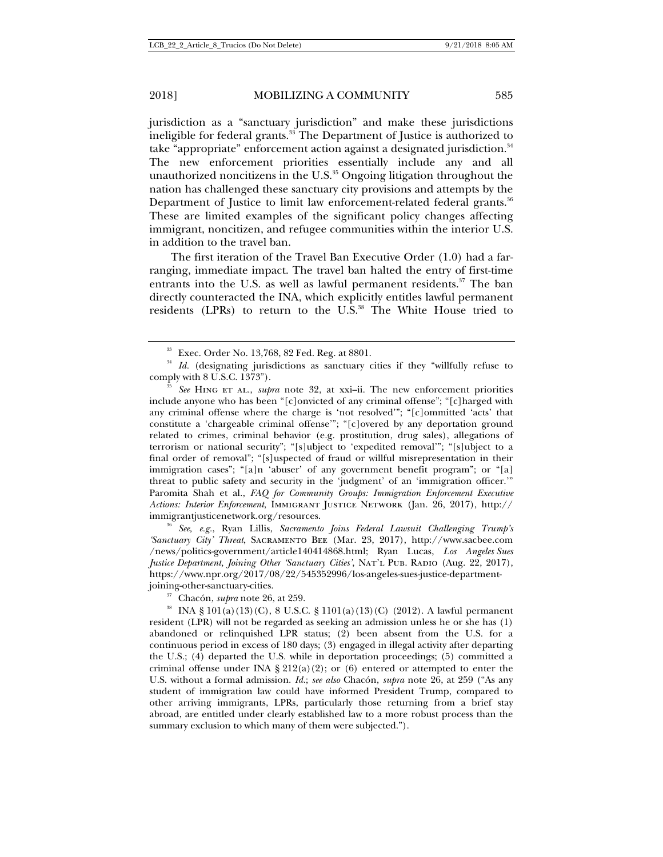jurisdiction as a "sanctuary jurisdiction" and make these jurisdictions ineligible for federal grants.<sup>33</sup> The Department of Justice is authorized to take "appropriate" enforcement action against a designated jurisdiction.<sup>34</sup> The new enforcement priorities essentially include any and all unauthorized noncitizens in the U.S.<sup>35</sup> Ongoing litigation throughout the nation has challenged these sanctuary city provisions and attempts by the Department of Justice to limit law enforcement-related federal grants.<sup>36</sup> These are limited examples of the significant policy changes affecting immigrant, noncitizen, and refugee communities within the interior U.S. in addition to the travel ban.

The first iteration of the Travel Ban Executive Order (1.0) had a farranging, immediate impact. The travel ban halted the entry of first-time entrants into the U.S. as well as lawful permanent residents.<sup>37</sup> The ban directly counteracted the INA, which explicitly entitles lawful permanent residents (LPRs) to return to the U.S.<sup>38</sup> The White House tried to

*'Sanctuary City' Threat*, Sacramento Bee (Mar. 23, 2017), http://www.sacbee.com /news/politics-government/article140414868.html; Ryan Lucas, *Los Angeles Sues Justice Department, Joining Other 'Sanctuary Cities', NAT'L PUB. RADIO (Aug. 22, 2017),* https://www.npr.org/2017/08/22/545352996/los-angeles-sues-justice-department-

<sup>&</sup>lt;sup>33</sup> Exec. Order No. 13,768, 82 Fed. Reg. at 8801.<br><sup>34</sup> *Id.* (designating jurisdictions as sanctuary cities if they "willfully refuse to

comply with 8 U.S.C. 1373"). 35 *See* Hing et al., *supra* note 32, at xxi–ii. The new enforcement priorities include anyone who has been "[c]onvicted of any criminal offense"; "[c]harged with any criminal offense where the charge is 'not resolved'"; "[c]ommitted 'acts' that constitute a 'chargeable criminal offense'"; "[c]overed by any deportation ground related to crimes, criminal behavior (e.g. prostitution, drug sales), allegations of terrorism or national security"; "[s]ubject to 'expedited removal'"; "[s]ubject to a final order of removal"; "[s]uspected of fraud or willful misrepresentation in their immigration cases"; "[a]n 'abuser' of any government benefit program"; or "[a] threat to public safety and security in the 'judgment' of an 'immigration officer.'" Paromita Shah et al., *FAQ for Community Groups: Immigration Enforcement Executive Actions: Interior Enforcement*, Immigrant Justice Network (Jan. 26, 2017), http:// immigrantjusticenetwork.org/resources. 36 *See, e.g.*, Ryan Lillis, *Sacramento Joins Federal Lawsuit Challenging Trump's* 

joining-other-sanctuary-cities. 37 Chacón, *supra* note 26, at 259. 38 INA § 101(a)(13)(C), 8 U.S.C. § 1101(a)(13)(C) (2012). A lawful permanent resident (LPR) will not be regarded as seeking an admission unless he or she has (1) abandoned or relinquished LPR status; (2) been absent from the U.S. for a continuous period in excess of 180 days; (3) engaged in illegal activity after departing the U.S.; (4) departed the U.S. while in deportation proceedings; (5) committed a criminal offense under INA § 212(a)(2); or (6) entered or attempted to enter the U.S. without a formal admission. *Id.*; *see also* Chacón, *supra* note 26, at 259 ("As any student of immigration law could have informed President Trump, compared to other arriving immigrants, LPRs, particularly those returning from a brief stay abroad, are entitled under clearly established law to a more robust process than the summary exclusion to which many of them were subjected.").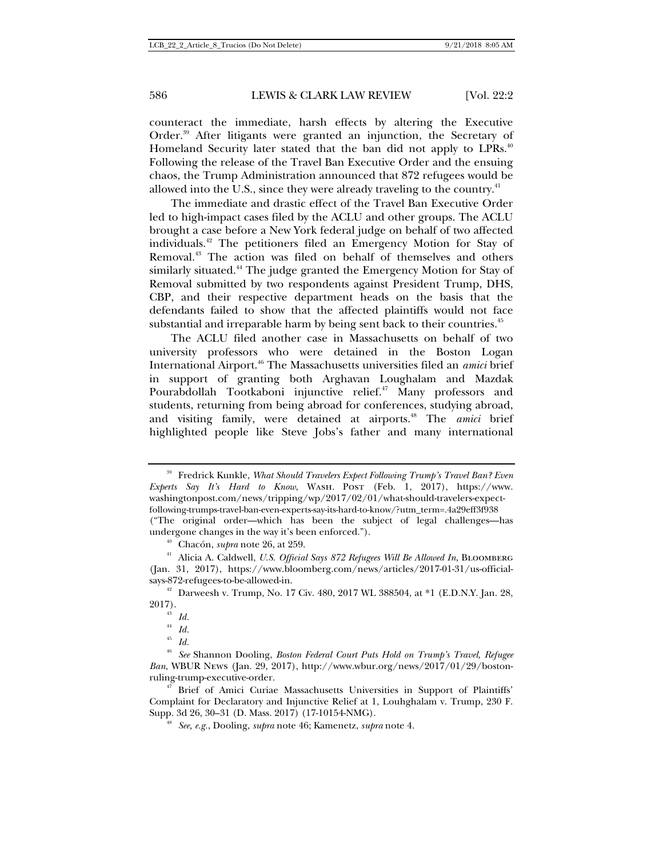counteract the immediate, harsh effects by altering the Executive Order.39 After litigants were granted an injunction, the Secretary of Homeland Security later stated that the ban did not apply to LPRs.<sup>40</sup> Following the release of the Travel Ban Executive Order and the ensuing chaos, the Trump Administration announced that 872 refugees would be allowed into the U.S., since they were already traveling to the country.<sup>41</sup>

The immediate and drastic effect of the Travel Ban Executive Order led to high-impact cases filed by the ACLU and other groups. The ACLU brought a case before a New York federal judge on behalf of two affected individuals.42 The petitioners filed an Emergency Motion for Stay of Removal.<sup>43</sup> The action was filed on behalf of themselves and others similarly situated.<sup>44</sup> The judge granted the Emergency Motion for Stay of Removal submitted by two respondents against President Trump, DHS, CBP, and their respective department heads on the basis that the defendants failed to show that the affected plaintiffs would not face substantial and irreparable harm by being sent back to their countries.<sup>45</sup>

The ACLU filed another case in Massachusetts on behalf of two university professors who were detained in the Boston Logan International Airport.46 The Massachusetts universities filed an *amici* brief in support of granting both Arghavan Loughalam and Mazdak Pourabdollah Tootkaboni injunctive relief.<sup>47</sup> Many professors and students, returning from being abroad for conferences, studying abroad, and visiting family, were detained at airports.<sup>48</sup> The *amici* brief highlighted people like Steve Jobs's father and many international

<sup>39</sup> Fredrick Kunkle, *What Should Travelers Expect Following Trump's Travel Ban? Even Experts Say It's Hard to Know*, Wash. Post (Feb. 1, 2017), https://www. washingtonpost.com/news/tripping/wp/2017/02/01/what-should-travelers-expectfollowing-trumps-travel-ban-even-experts-say-its-hard-to-know/?utm\_term=.4a29eff3f938 ("The original order—which has been the subject of legal challenges—has

undergone changes in the way it's been enforced.").<br><sup>40</sup> Chacón, *supra* note 26, at 259.<br><sup>41</sup> Alicia A. Caldwell, *U.S. Official Says 872 Refugees Will Be Allowed In*, BLOOMBERG (Jan. 31, 2017), https://www.bloomberg.com/news/articles/2017-01-31/us-official-

 $388504$ , at \*1 (E.D.N.Y. Jan. 28,  $388504$ , at \*1 (E.D.N.Y. Jan. 28,  $2017$ ).<br><sup>43</sup> *Id.*<br><sup>44</sup> *Id.* 

 $\frac{44}{45}$  *Id.* <sup>45</sup> *Id.* 

<sup>46</sup> *See* Shannon Dooling, *Boston Federal Court Puts Hold on Trump's Travel, Refugee Ban*, WBUR News (Jan. 29, 2017), http://www.wbur.org/news/2017/01/29/bostonruling-trump-executive-order. 47 Brief of Amici Curiae Massachusetts Universities in Support of Plaintiffs'

Complaint for Declaratory and Injunctive Relief at 1, Louhghalam v. Trump, 230 F.

See, e.g., Dooling, *supra* note 46; Kamenetz, *supra* note 4.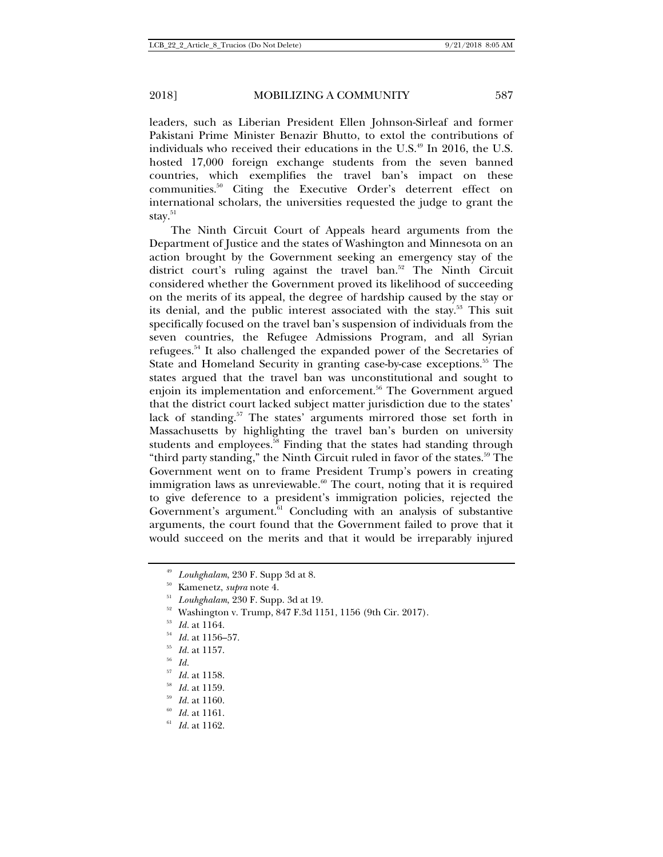leaders, such as Liberian President Ellen Johnson-Sirleaf and former Pakistani Prime Minister Benazir Bhutto, to extol the contributions of individuals who received their educations in the U.S. $49$  In 2016, the U.S. hosted 17,000 foreign exchange students from the seven banned countries, which exemplifies the travel ban's impact on these communities.50 Citing the Executive Order's deterrent effect on international scholars, the universities requested the judge to grant the stay.<sup>51</sup>

The Ninth Circuit Court of Appeals heard arguments from the Department of Justice and the states of Washington and Minnesota on an action brought by the Government seeking an emergency stay of the district court's ruling against the travel ban.<sup>52</sup> The Ninth Circuit considered whether the Government proved its likelihood of succeeding on the merits of its appeal, the degree of hardship caused by the stay or its denial, and the public interest associated with the stay.<sup>53</sup> This suit specifically focused on the travel ban's suspension of individuals from the seven countries, the Refugee Admissions Program, and all Syrian refugees.54 It also challenged the expanded power of the Secretaries of State and Homeland Security in granting case-by-case exceptions.<sup>55</sup> The states argued that the travel ban was unconstitutional and sought to enjoin its implementation and enforcement.<sup>56</sup> The Government argued that the district court lacked subject matter jurisdiction due to the states' lack of standing.<sup>57</sup> The states' arguments mirrored those set forth in Massachusetts by highlighting the travel ban's burden on university students and employees.<sup>58</sup> Finding that the states had standing through "third party standing," the Ninth Circuit ruled in favor of the states.<sup>59</sup> The Government went on to frame President Trump's powers in creating immigration laws as unreviewable.<sup>60</sup> The court, noting that it is required to give deference to a president's immigration policies, rejected the Government's argument.<sup>61</sup> Concluding with an analysis of substantive arguments, the court found that the Government failed to prove that it would succeed on the merits and that it would be irreparably injured

<sup>&</sup>lt;sup>49</sup> Louhghalam, 230 F. Supp 3d at 8.<br>
<sup>50</sup> Kamenetz, *supra* note 4.<br>
<sup>51</sup> Louhghalam, 230 F. Supp. 3d at 19.<br>
<sup>52</sup> Washington v. Trump, 847 F.3d 1151, 1156 (9th Cir. 2017).<br>
<sup>53</sup> Id. at 1156–57.<br>
<sup>54</sup> Id. at 1157.<br>
<sup>55</sup>

<sup>57</sup> *Id.* at 1158. 58 *Id.* at 1159. 59 *Id.* at 1160. 60 *Id.* at 1161. 61 *Id.* at 1162.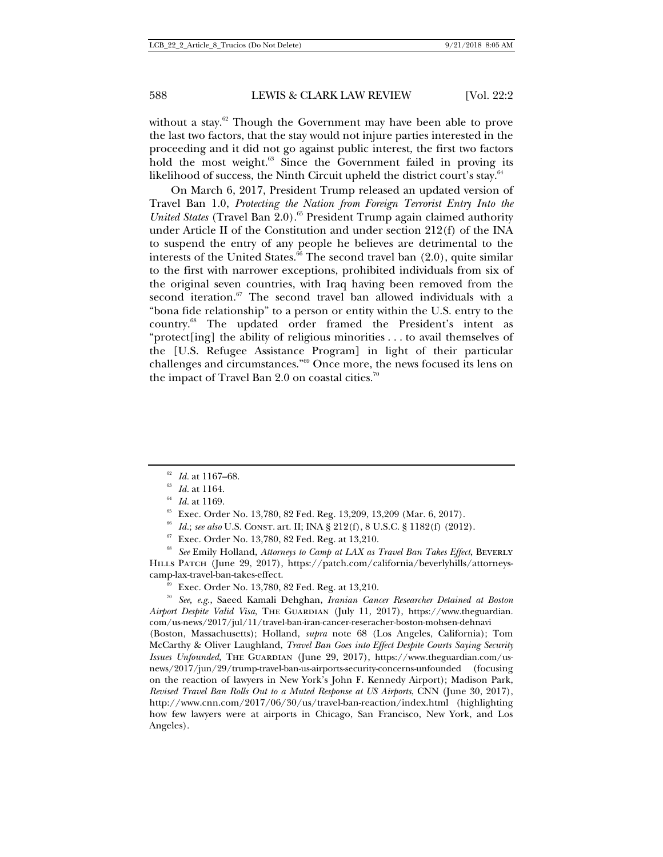without a stay. $62$  Though the Government may have been able to prove the last two factors, that the stay would not injure parties interested in the proceeding and it did not go against public interest, the first two factors hold the most weight.<sup>63</sup> Since the Government failed in proving its likelihood of success, the Ninth Circuit upheld the district court's stay. $64$ 

On March 6, 2017, President Trump released an updated version of Travel Ban 1.0, *Protecting the Nation from Foreign Terrorist Entry Into the*  United States (Travel Ban 2.0).<sup>65</sup> President Trump again claimed authority under Article II of the Constitution and under section 212(f) of the INA to suspend the entry of any people he believes are detrimental to the interests of the United States. $66$  The second travel ban (2.0), quite similar to the first with narrower exceptions, prohibited individuals from six of the original seven countries, with Iraq having been removed from the second iteration.<sup>67</sup> The second travel ban allowed individuals with a "bona fide relationship" to a person or entity within the U.S. entry to the country.68 The updated order framed the President's intent as "protect[ing] the ability of religious minorities . . . to avail themselves of the [U.S. Refugee Assistance Program] in light of their particular challenges and circumstances."69 Once more, the news focused its lens on the impact of Travel Ban 2.0 on coastal cities.<sup>70</sup>

Hills Patch (June 29, 2017), https://patch.com/california/beverlyhills/attorneyscamp-lax-travel-ban-takes-effect. 69 Exec. Order No. 13,780, 82 Fed. Reg. at 13,210. 70 *See, e.g.*, Saeed Kamali Dehghan, *Iranian Cancer Researcher Detained at Boston* 

*Airport Despite Valid Visa*, The Guardian (July 11, 2017), https://www.theguardian. com/us-news/2017/jul/11/travel-ban-iran-cancer-reseracher-boston-mohsen-dehnavi

(Boston, Massachusetts); Holland, *supra* note 68 (Los Angeles, California); Tom McCarthy & Oliver Laughland, *Travel Ban Goes into Effect Despite Courts Saying Security Issues Unfounded*, The Guardian (June 29, 2017), https://www.theguardian.com/usnews/2017/jun/29/trump-travel-ban-us-airports-security-concerns-unfounded (focusing on the reaction of lawyers in New York's John F. Kennedy Airport); Madison Park, *Revised Travel Ban Rolls Out to a Muted Response at US Airports*, CNN (June 30, 2017), http://www.cnn.com/2017/06/30/us/travel-ban-reaction/index.html (highlighting how few lawyers were at airports in Chicago, San Francisco, New York, and Los Angeles).

<sup>&</sup>lt;sup>62</sup> *Id.* at 1164.<br>
<sup>63</sup> *Id.* at 1164.<br>
<sup>64</sup> *Id.* at 1169.<br>
<sup>65</sup> Exec. Order No. 13,780, 82 Fed. Reg. 13,209, 13,209 (Mar. 6, 2017).<br>
<sup>65</sup> *Id.*; *see also* U.S. Const. art. II; INA § 212(f), 8 U.S.C. § 1182(f) (2012).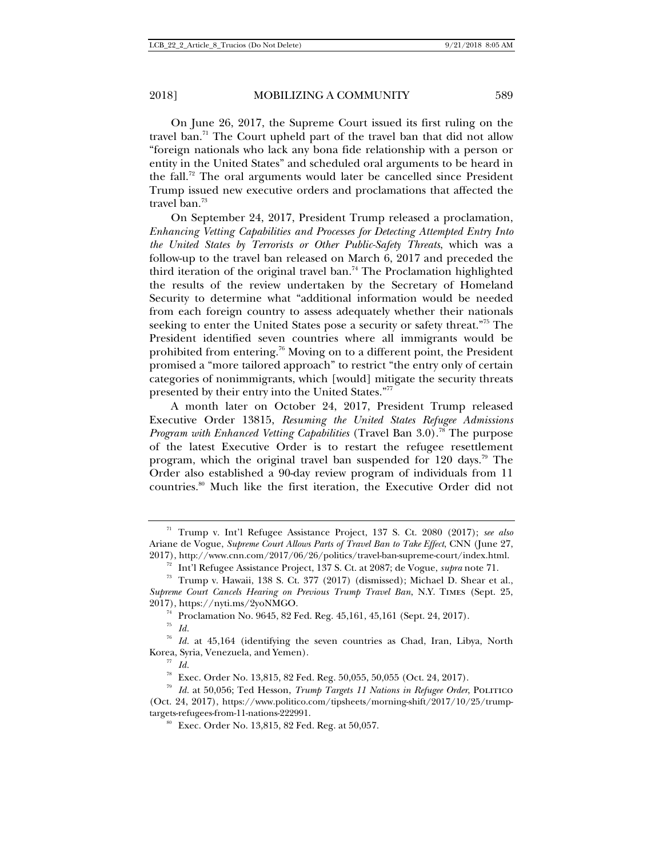On June 26, 2017, the Supreme Court issued its first ruling on the travel ban.<sup>71</sup> The Court upheld part of the travel ban that did not allow "foreign nationals who lack any bona fide relationship with a person or entity in the United States" and scheduled oral arguments to be heard in the fall.<sup>72</sup> The oral arguments would later be cancelled since President Trump issued new executive orders and proclamations that affected the travel ban.<sup>73</sup>

On September 24, 2017, President Trump released a proclamation, *Enhancing Vetting Capabilities and Processes for Detecting Attempted Entry Into the United States by Terrorists or Other Public-Safety Threats*, which was a follow-up to the travel ban released on March 6, 2017 and preceded the third iteration of the original travel ban.<sup>74</sup> The Proclamation highlighted the results of the review undertaken by the Secretary of Homeland Security to determine what "additional information would be needed from each foreign country to assess adequately whether their nationals seeking to enter the United States pose a security or safety threat."75 The President identified seven countries where all immigrants would be prohibited from entering.76 Moving on to a different point, the President promised a "more tailored approach" to restrict "the entry only of certain categories of nonimmigrants, which [would] mitigate the security threats presented by their entry into the United States."77

A month later on October 24, 2017, President Trump released Executive Order 13815, *Resuming the United States Refugee Admissions Program with Enhanced Vetting Capabilities* (Travel Ban 3.0).<sup>78</sup> The purpose of the latest Executive Order is to restart the refugee resettlement program, which the original travel ban suspended for  $120 \text{ days}$ .<sup>79</sup> The Order also established a 90-day review program of individuals from 11 countries.80 Much like the first iteration, the Executive Order did not

<sup>71</sup> Trump v. Int'l Refugee Assistance Project, 137 S. Ct. 2080 (2017); *see also*  Ariane de Vogue, *Supreme Court Allows Parts of Travel Ban to Take Effect*, CNN (June 27, 2017), http://www.cnn.com/2017/06/26/politics/travel-ban-supreme-court/index.html.<br><sup>72</sup> Int'l Refugee Assistance Project, 137 S. Ct. at 2087; de Vogue, *supra* note 71.<br><sup>73</sup> Trump v. Hawaii, 138 S. Ct. 377 (2017) (dismiss

*Supreme Court Cancels Hearing on Previous Trump Travel Ban*, N.Y. Times (Sept. 25,

<sup>&</sup>lt;sup>74</sup> Proclamation No. 9645, 82 Fed. Reg. 45,161, 45,161 (Sept. 24, 2017). *Id.* 

<sup>76</sup> *Id.* at 45,164 (identifying the seven countries as Chad, Iran, Libya, North Korea, Syria, Venezuela, and Yemen).<br><sup>77</sup> *Id.*<br><sup>78</sup> Exec. Order No. 13,815, 82 Fed. Reg. 50,055, 50,055 (Oct. 24, 2017).

<sup>&</sup>lt;sup>79</sup> Id. at 50,056; Ted Hesson, *Trump Targets 11 Nations in Refugee Order*, POLITICO (Oct. 24, 2017), https://www.politico.com/tipsheets/morning-shift/2017/10/25/trumptargets-refugees-from-11-nations-222991.<br><sup>80</sup> Exec. Order No. 13,815, 82 Fed. Reg. at 50,057.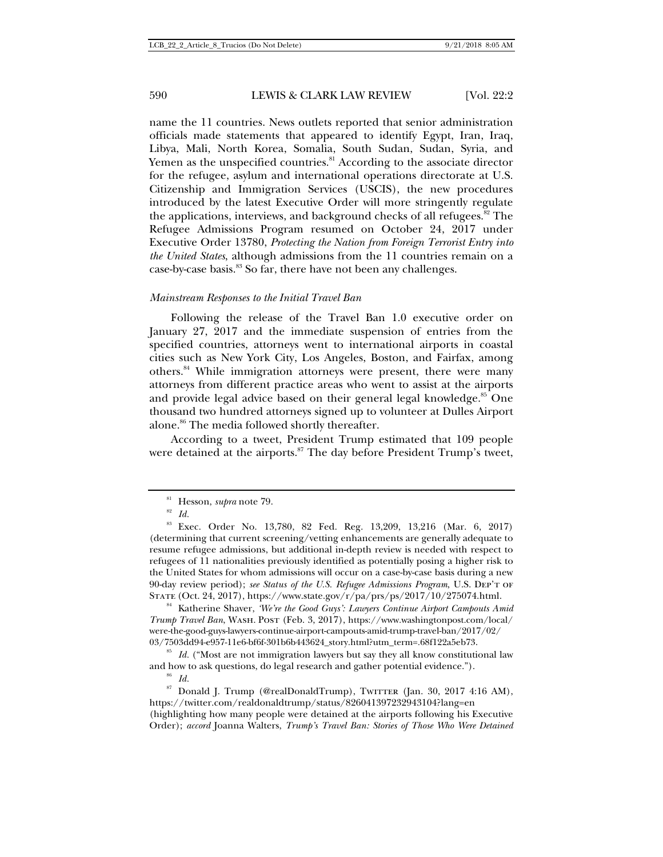name the 11 countries. News outlets reported that senior administration officials made statements that appeared to identify Egypt, Iran, Iraq, Libya, Mali, North Korea, Somalia, South Sudan, Sudan, Syria, and Yemen as the unspecified countries.<sup>81</sup> According to the associate director for the refugee, asylum and international operations directorate at U.S. Citizenship and Immigration Services (USCIS), the new procedures introduced by the latest Executive Order will more stringently regulate the applications, interviews, and background checks of all refugees. $82$  The Refugee Admissions Program resumed on October 24, 2017 under Executive Order 13780, *Protecting the Nation from Foreign Terrorist Entry into the United States*, although admissions from the 11 countries remain on a case-by-case basis.<sup>83</sup> So far, there have not been any challenges.

### *Mainstream Responses to the Initial Travel Ban*

Following the release of the Travel Ban 1.0 executive order on January 27, 2017 and the immediate suspension of entries from the specified countries, attorneys went to international airports in coastal cities such as New York City, Los Angeles, Boston, and Fairfax, among others.84 While immigration attorneys were present, there were many attorneys from different practice areas who went to assist at the airports and provide legal advice based on their general legal knowledge.<sup>85</sup> One thousand two hundred attorneys signed up to volunteer at Dulles Airport alone.<sup>86</sup> The media followed shortly thereafter.

According to a tweet, President Trump estimated that 109 people were detained at the airports.<sup>87</sup> The day before President Trump's tweet,

<sup>84</sup> Katherine Shaver, *'We're the Good Guys': Lawyers Continue Airport Campouts Amid Trump Travel Ban*, Wash. Post (Feb. 3, 2017), https://www.washingtonpost.com/local/ were-the-good-guys-lawyers-continue-airport-campouts-amid-trump-travel-ban/2017/02/

03/7503dd94-e957-11e6-bf6f-301b6b443624\_story.html?utm\_term=.68f122a5eb73. 85 *Id.* ("Most are not immigration lawyers but say they all know constitutional law and how to ask questions, do legal research and gather potential evidence."). <sup>86</sup> *Id.* 

<sup>&</sup>lt;sup>81</sup> Hesson, *supra* note 79.<br><sup>82</sup> *Id.* 

<sup>83</sup> Exec. Order No. 13,780, 82 Fed. Reg. 13,209, 13,216 (Mar. 6, 2017) (determining that current screening/vetting enhancements are generally adequate to resume refugee admissions, but additional in-depth review is needed with respect to refugees of 11 nationalities previously identified as potentially posing a higher risk to the United States for whom admissions will occur on a case-by-case basis during a new 90-day review period); *see Status of the U.S. Refugee Admissions Program*, U.S. Dep't of State (Oct. 24, 2017), https://www.state.gov/r/pa/prs/ps/2017/10/275074.html.

<sup>&</sup>lt;sup>87</sup> Donald J. Trump (@realDonaldTrump), TwiTTER (Jan. 30, 2017 4:16 AM), https://twitter.com/realdonaldtrump/status/826041397232943104?lang=en (highlighting how many people were detained at the airports following his Executive Order); *accord* Joanna Walters, *Trump's Travel Ban: Stories of Those Who Were Detained*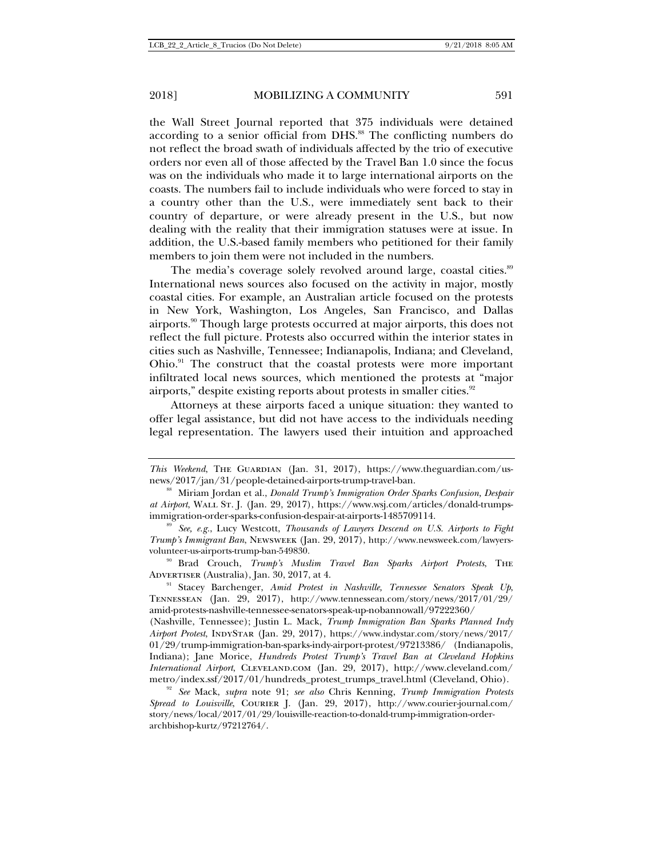the Wall Street Journal reported that 375 individuals were detained according to a senior official from DHS.<sup>88</sup> The conflicting numbers do not reflect the broad swath of individuals affected by the trio of executive orders nor even all of those affected by the Travel Ban 1.0 since the focus was on the individuals who made it to large international airports on the coasts. The numbers fail to include individuals who were forced to stay in a country other than the U.S., were immediately sent back to their country of departure, or were already present in the U.S., but now dealing with the reality that their immigration statuses were at issue. In addition, the U.S.-based family members who petitioned for their family members to join them were not included in the numbers.

The media's coverage solely revolved around large, coastal cities.<sup>89</sup> International news sources also focused on the activity in major, mostly coastal cities. For example, an Australian article focused on the protests in New York, Washington, Los Angeles, San Francisco, and Dallas airports.<sup>90</sup> Though large protests occurred at major airports, this does not reflect the full picture. Protests also occurred within the interior states in cities such as Nashville, Tennessee; Indianapolis, Indiana; and Cleveland, Ohio.<sup>91</sup> The construct that the coastal protests were more important infiltrated local news sources, which mentioned the protests at "major airports," despite existing reports about protests in smaller cities.<sup>92</sup>

Attorneys at these airports faced a unique situation: they wanted to offer legal assistance, but did not have access to the individuals needing legal representation. The lawyers used their intuition and approached

ADVERTISER (Australia), Jan. 30, 2017, at 4.<br><sup>91</sup> Stacey Barchenger, *Amid Protest in Nashville, Tennessee Senators Speak Up*,

Tennessean (Jan. 29, 2017), http://www.tennessean.com/story/news/2017/01/29/ amid-protests-nashville-tennessee-senators-speak-up-nobannowall/97222360/

(Nashville, Tennessee); Justin L. Mack, *Trump Immigration Ban Sparks Planned Indy Airport Protest*, IndyStar (Jan. 29, 2017), https://www.indystar.com/story/news/2017/ 01/29/trump-immigration-ban-sparks-indy-airport-protest/97213386/ (Indianapolis, Indiana); Jane Morice, *Hundreds Protest Trump's Travel Ban at Cleveland Hopkins International Airport*, Cleveland.com (Jan. 29, 2017), http://www.cleveland.com/ metro/index.ssf/2017/01/hundreds\_protest\_trumps\_travel.html (Cleveland, Ohio). 92 *See* Mack, *supra* note 91; *see also* Chris Kenning, *Trump Immigration Protests* 

*This Weekend*, The Guardian (Jan. 31, 2017), https://www.theguardian.com/usnews/2017/jan/31/people-detained-airports-trump-travel-ban. 88 Miriam Jordan et al., *Donald Trump's Immigration Order Sparks Confusion, Despair* 

*at Airport*, Wall St. J. (Jan. 29, 2017), https://www.wsj.com/articles/donald-trumpsimmigration-order-sparks-confusion-despair-at-airports-1485709114.<br><sup>89</sup> *See, e.g.*, Lucy Westcott, *Thousands of Lawyers Descend on U.S. Airports to Fight* 

*Trump's Immigrant Ban*, Newsweek (Jan. 29, 2017), http://www.newsweek.com/lawyersvolunteer-us-airports-trump-ban-549830. 90 Brad Crouch, *Trump's Muslim Travel Ban Sparks Airport Protests*, The

*Spread to Louisville*, Courier J. (Jan. 29, 2017), http://www.courier-journal.com/ story/news/local/2017/01/29/louisville-reaction-to-donald-trump-immigration-orderarchbishop-kurtz/97212764/.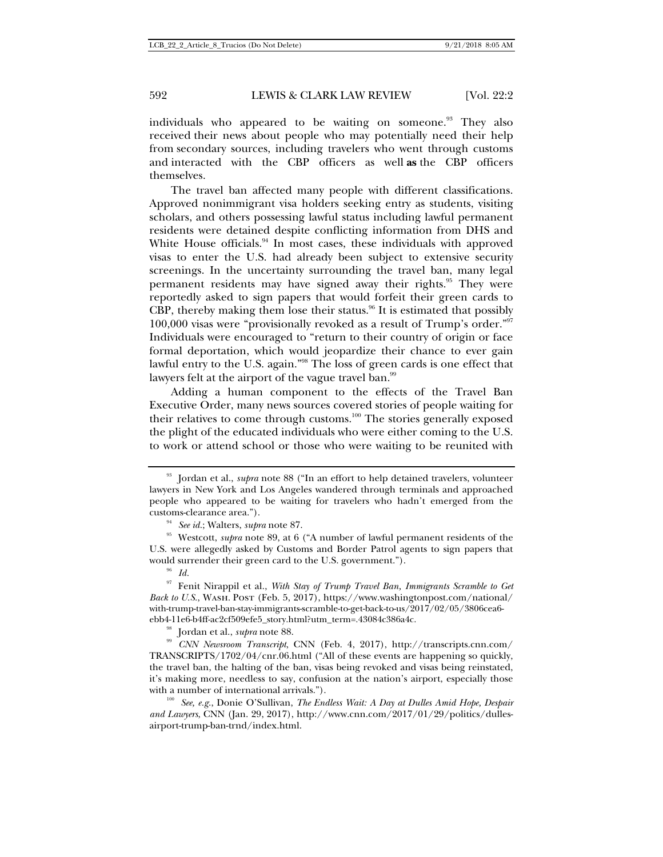individuals who appeared to be waiting on someone.<sup>93</sup> They also received their news about people who may potentially need their help from secondary sources, including travelers who went through customs and interacted with the CBP officers as well **as** the CBP officers themselves.

The travel ban affected many people with different classifications. Approved nonimmigrant visa holders seeking entry as students, visiting scholars, and others possessing lawful status including lawful permanent residents were detained despite conflicting information from DHS and White House officials.<sup>94</sup> In most cases, these individuals with approved visas to enter the U.S. had already been subject to extensive security screenings. In the uncertainty surrounding the travel ban, many legal permanent residents may have signed away their rights.<sup>95</sup> They were reportedly asked to sign papers that would forfeit their green cards to CBP, thereby making them lose their status. $96$  It is estimated that possibly 100,000 visas were "provisionally revoked as a result of Trump's order."97 Individuals were encouraged to "return to their country of origin or face formal deportation, which would jeopardize their chance to ever gain lawful entry to the U.S. again."98 The loss of green cards is one effect that lawyers felt at the airport of the vague travel ban.<sup>99</sup>

Adding a human component to the effects of the Travel Ban Executive Order, many news sources covered stories of people waiting for their relatives to come through customs.<sup>100</sup> The stories generally exposed the plight of the educated individuals who were either coming to the U.S. to work or attend school or those who were waiting to be reunited with

<sup>&</sup>lt;sup>93</sup> Jordan et al., *supra* note 88 ("In an effort to help detained travelers, volunteer lawyers in New York and Los Angeles wandered through terminals and approached people who appeared to be waiting for travelers who hadn't emerged from the

<sup>%</sup> customs-clearance area.").<br><sup>94</sup> *See id.*; Walters, *supra* note 87. <sup>95</sup> Westcott, *supra* note 89, at 6 ("A number of lawful permanent residents of the U.S. were allegedly asked by Customs and Border Patrol agents to sign papers that would surrender their green card to the U.S. government.").<br><sup>96</sup> *Id.* 

<sup>97</sup> Fenit Nirappil et al., *With Stay of Trump Travel Ban, Immigrants Scramble to Get Back to U.S.*, WASH. Post (Feb. 5, 2017), https://www.washingtonpost.com/national/ with-trump-travel-ban-stay-immigrants-scramble-to-get-back-to-us/2017/02/05/3806cea6 ebb4-11e6-b4ff-ac2cf509efe5\_story.html?utm\_term=.43084c386a4c.

<sup>98</sup> Jordan et al., *supra* note 88. 99 *CNN Newsroom Transcript*, CNN (Feb. 4, 2017), http://transcripts.cnn.com/ TRANSCRIPTS/1702/04/cnr.06.html ("All of these events are happening so quickly, the travel ban, the halting of the ban, visas being revoked and visas being reinstated, it's making more, needless to say, confusion at the nation's airport, especially those with a number of international arrivals.").<br><sup>100</sup> *See, e.g.*, Donie O'Sullivan, *The Endless Wait: A Day at Dulles Amid Hope, Despair* 

*and Lawyers*, CNN (Jan. 29, 2017), http://www.cnn.com/2017/01/29/politics/dullesairport-trump-ban-trnd/index.html.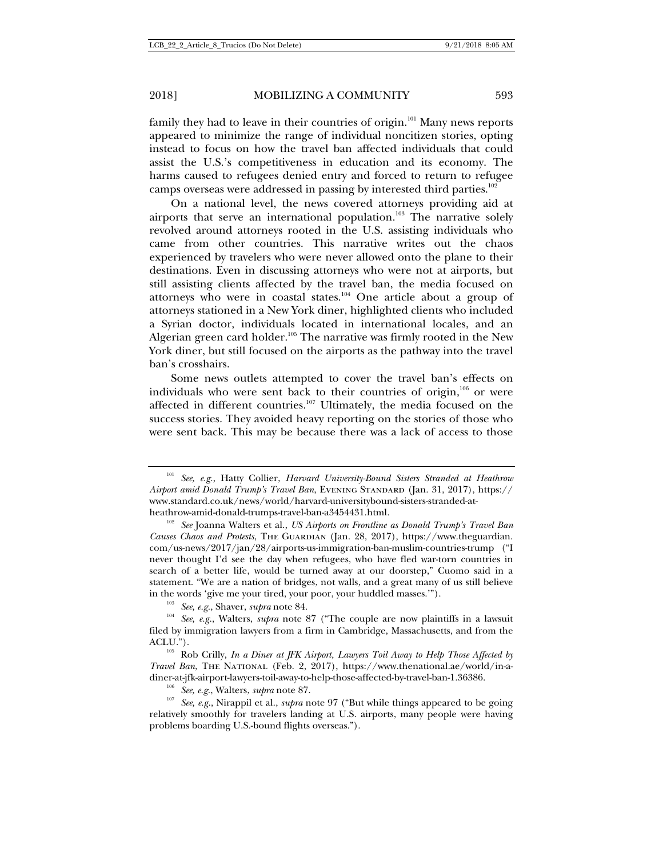family they had to leave in their countries of origin.<sup>101</sup> Many news reports appeared to minimize the range of individual noncitizen stories, opting instead to focus on how the travel ban affected individuals that could assist the U.S.'s competitiveness in education and its economy. The harms caused to refugees denied entry and forced to return to refugee camps overseas were addressed in passing by interested third parties.<sup>102</sup>

On a national level, the news covered attorneys providing aid at airports that serve an international population.<sup>103</sup> The narrative solely revolved around attorneys rooted in the U.S. assisting individuals who came from other countries. This narrative writes out the chaos experienced by travelers who were never allowed onto the plane to their destinations. Even in discussing attorneys who were not at airports, but still assisting clients affected by the travel ban, the media focused on attorneys who were in coastal states.<sup>104</sup> One article about a group of attorneys stationed in a New York diner, highlighted clients who included a Syrian doctor, individuals located in international locales, and an Algerian green card holder.<sup>105</sup> The narrative was firmly rooted in the New York diner, but still focused on the airports as the pathway into the travel ban's crosshairs.

Some news outlets attempted to cover the travel ban's effects on individuals who were sent back to their countries of origin, $106$  or were affected in different countries.<sup>107</sup> Ultimately, the media focused on the success stories. They avoided heavy reporting on the stories of those who were sent back. This may be because there was a lack of access to those

relatively smoothly for travelers landing at U.S. airports, many people were having problems boarding U.S.-bound flights overseas.").

<sup>101</sup> *See, e.g.*, Hatty Collier, *Harvard University-Bound Sisters Stranded at Heathrow Airport amid Donald Trump's Travel Ban*, Evening Standard (Jan. 31, 2017), https:// www.standard.co.uk/news/world/harvard-universitybound-sisters-stranded-at-

heathrow-amid-donald-trumps-travel-ban-a3454431.html. 102 *See* Joanna Walters et al., *US Airports on Frontline as Donald Trump's Travel Ban Causes Chaos and Protests*, The Guardian (Jan. 28, 2017), https://www.theguardian. com/us-news/2017/jan/28/airports-us-immigration-ban-muslim-countries-trump ("I never thought I'd see the day when refugees, who have fled war-torn countries in search of a better life, would be turned away at our doorstep," Cuomo said in a statement. "We are a nation of bridges, not walls, and a great many of us still believe

in the words 'give me your tired, your poor, your huddled masses.'"). 103 *See, e.g.*, Shaver, *supra* note 84. 104 *See, e.g.*, Walters, *supra* note 87 ("The couple are now plaintiffs in a lawsuit filed by immigration lawyers from a firm in Cambridge, Massachusetts, and from the ACLU.").<br><sup>105</sup> Rob Crilly, *In a Diner at JFK Airport, Lawyers Toil Away to Help Those Affected by* 

*Travel Ban*, The National (Feb. 2, 2017), https://www.thenational.ae/world/in-adiner-at-jfk-airport-lawyers-toil-away-to-help-those-affected-by-travel-ban-1.36386.<br><sup>106</sup> *See, e.g.*, Walters, *supra* note 87.<br><sup>107</sup> *See, e.g.*, Nirappil et al., *supra* note 97 ("But while things appeared to be going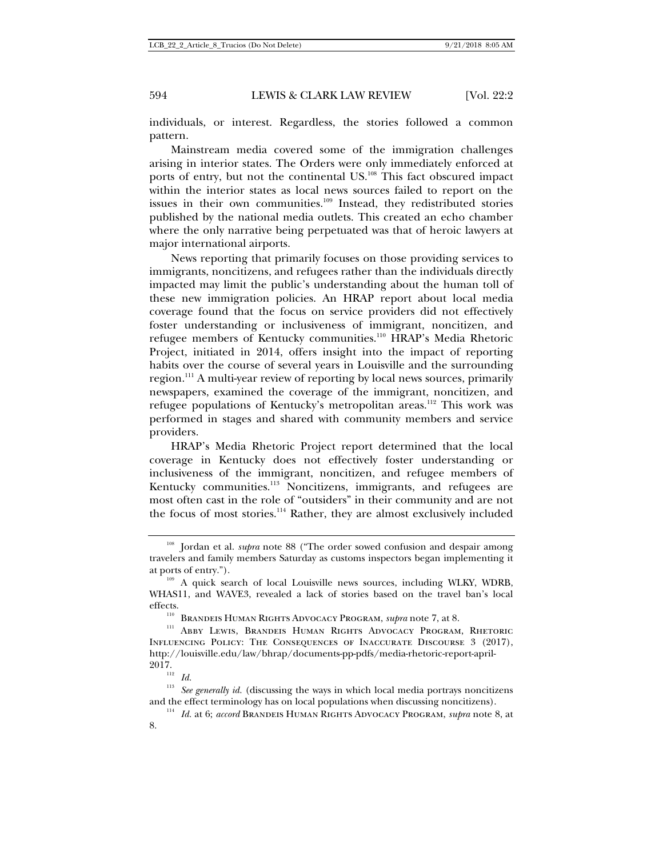individuals, or interest. Regardless, the stories followed a common pattern.

Mainstream media covered some of the immigration challenges arising in interior states. The Orders were only immediately enforced at ports of entry, but not the continental US.<sup>108</sup> This fact obscured impact within the interior states as local news sources failed to report on the issues in their own communities.<sup>109</sup> Instead, they redistributed stories published by the national media outlets. This created an echo chamber where the only narrative being perpetuated was that of heroic lawyers at major international airports.

News reporting that primarily focuses on those providing services to immigrants, noncitizens, and refugees rather than the individuals directly impacted may limit the public's understanding about the human toll of these new immigration policies. An HRAP report about local media coverage found that the focus on service providers did not effectively foster understanding or inclusiveness of immigrant, noncitizen, and refugee members of Kentucky communities.<sup>110</sup> HRAP's Media Rhetoric Project, initiated in 2014, offers insight into the impact of reporting habits over the course of several years in Louisville and the surrounding region.<sup>111</sup> A multi-year review of reporting by local news sources, primarily newspapers, examined the coverage of the immigrant, noncitizen, and refugee populations of Kentucky's metropolitan areas.<sup>112</sup> This work was performed in stages and shared with community members and service providers.

HRAP's Media Rhetoric Project report determined that the local coverage in Kentucky does not effectively foster understanding or inclusiveness of the immigrant, noncitizen, and refugee members of Kentucky communities.<sup>113</sup> Noncitizens, immigrants, and refugees are most often cast in the role of "outsiders" in their community and are not the focus of most stories.<sup>114</sup> Rather, they are almost exclusively included

<sup>&</sup>lt;sup>108</sup> Jordan et al. *supra* note 88 ("The order sowed confusion and despair among travelers and family members Saturday as customs inspectors began implementing it at ports of entry.").<br><sup>109</sup> A quick search of local Louisville news sources, including WLKY, WDRB,

WHAS11, and WAVE3, revealed a lack of stories based on the travel ban's local

effects.<br><sup>110</sup> Brandeis Human Rights Advocacy Program, *supra* note 7, at 8.<br><sup>111</sup> Abby Lewis, Brandeis Human Rights Advocacy Program, Rhetoric Influencing Policy: The Consequences of Inaccurate Discourse 3 (2017), http://louisville.edu/law/bhrap/documents-pp-pdfs/media-rhetoric-report-april- $2017_{\scriptscriptstyle{112}}$ 

<sup>&</sup>lt;sup>113</sup> *See generally id.* (discussing the ways in which local media portrays noncitizens and the effect terminology has on local populations when discussing noncitizens).

<sup>114</sup> *Id.* at 6; *accord* Brandeis Human Rights Advocacy Program, *supra* note 8, at 8.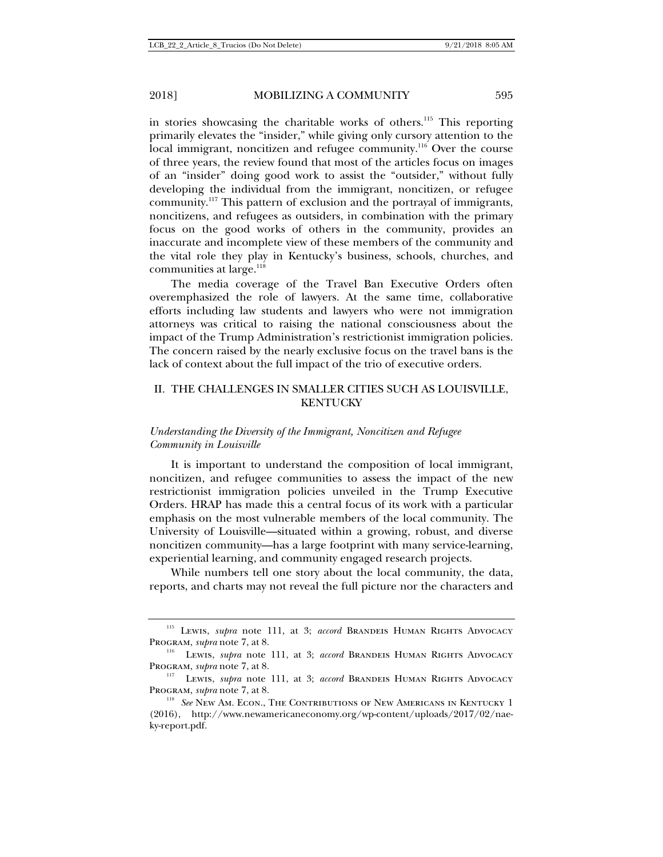in stories showcasing the charitable works of others.<sup>115</sup> This reporting primarily elevates the "insider," while giving only cursory attention to the local immigrant, noncitizen and refugee community.<sup>116</sup> Over the course of three years, the review found that most of the articles focus on images of an "insider" doing good work to assist the "outsider," without fully developing the individual from the immigrant, noncitizen, or refugee community.117 This pattern of exclusion and the portrayal of immigrants, noncitizens, and refugees as outsiders, in combination with the primary focus on the good works of others in the community, provides an inaccurate and incomplete view of these members of the community and the vital role they play in Kentucky's business, schools, churches, and communities at large.<sup>118</sup>

The media coverage of the Travel Ban Executive Orders often overemphasized the role of lawyers. At the same time, collaborative efforts including law students and lawyers who were not immigration attorneys was critical to raising the national consciousness about the impact of the Trump Administration's restrictionist immigration policies. The concern raised by the nearly exclusive focus on the travel bans is the lack of context about the full impact of the trio of executive orders.

## II. THE CHALLENGES IN SMALLER CITIES SUCH AS LOUISVILLE, KENTUCKY

### *Understanding the Diversity of the Immigrant, Noncitizen and Refugee Community in Louisville*

It is important to understand the composition of local immigrant, noncitizen, and refugee communities to assess the impact of the new restrictionist immigration policies unveiled in the Trump Executive Orders. HRAP has made this a central focus of its work with a particular emphasis on the most vulnerable members of the local community. The University of Louisville—situated within a growing, robust, and diverse noncitizen community—has a large footprint with many service-learning, experiential learning, and community engaged research projects.

While numbers tell one story about the local community, the data, reports, and charts may not reveal the full picture nor the characters and

<sup>115</sup> Lewis, *supra* note 111, at 3; *accord* Brandeis Human Rights Advocacy Program, *supra* note 7, at 8.<br><sup>116</sup> Lewis, *supra* note 111, at 3; *accord* Brandeis Human Rights Advocacy

Program, *supra* note 7, at 8. 111, at 3; *accord* Brandeis Human Rights Advocacy Program, *supra* note 7, at 8. 118 **See New Americans** in Kentucky 1<sup>118</sup> *See* New Am. Econ., The Contributions of New Americans in Kentucky 1

<sup>(2016),</sup> http://www.newamericaneconomy.org/wp-content/uploads/2017/02/naeky-report.pdf.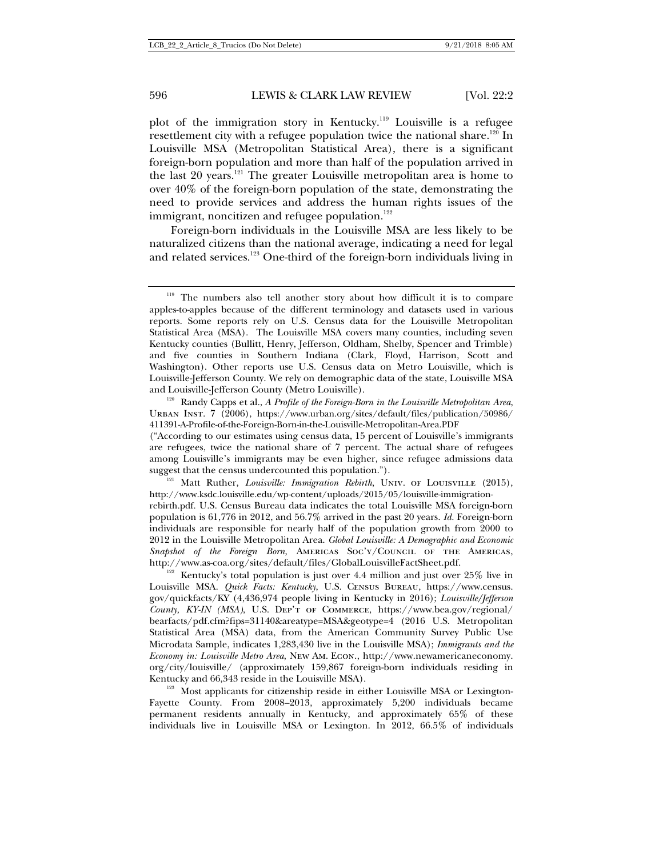plot of the immigration story in Kentucky.119 Louisville is a refugee resettlement city with a refugee population twice the national share.<sup>120</sup> In Louisville MSA (Metropolitan Statistical Area), there is a significant foreign-born population and more than half of the population arrived in the last 20 years.<sup>121</sup> The greater Louisville metropolitan area is home to over 40% of the foreign-born population of the state, demonstrating the need to provide services and address the human rights issues of the immigrant, noncitizen and refugee population. $122$ 

Foreign-born individuals in the Louisville MSA are less likely to be naturalized citizens than the national average, indicating a need for legal and related services.<sup>123</sup> One-third of the foreign-born individuals living in

Urban Inst. 7 (2006), https://www.urban.org/sites/default/files/publication/50986/ 411391-A-Profile-of-the-Foreign-Born-in-the-Louisville-Metropolitan-Area.PDF

http://www.ksdc.louisville.edu/wp-content/uploads/2015/05/louisville-immigrationrebirth.pdf. U.S. Census Bureau data indicates the total Louisville MSA foreign-born population is 61,776 in 2012, and 56.7% arrived in the past 20 years. *Id.* Foreign-born individuals are responsible for nearly half of the population growth from 2000 to 2012 in the Louisville Metropolitan Area. *Global Louisville: A Demographic and Economic Snapshot of the Foreign Born*, Americas Soc'y/Council of the Americas,

http://www.as-coa.org/sites/default/files/GlobalLouisvilleFactSheet.pdf.<br><sup>122</sup> Kentucky's total population is just over 4.4 million and just over 25% live in Louisville MSA. *Quick Facts: Kentucky*, U.S. Census Bureau, https://www.census. gov/quickfacts/KY (4,436,974 people living in Kentucky in 2016); *Louisville/Jefferson County, KY-IN (MSA)*, U.S. Dep't of Commerce, https://www.bea.gov/regional/ bearfacts/pdf.cfm?fips=31140&areatype=MSA&geotype=4 (2016 U.S. Metropolitan Statistical Area (MSA) data, from the American Community Survey Public Use Microdata Sample, indicates 1,283,430 live in the Louisville MSA); *Immigrants and the Economy in: Louisville Metro Area*, New Am. Econ., http://www.newamericaneconomy. org/city/louisville/ (approximately 159,867 foreign-born individuals residing in Kentucky and 66,343 reside in the Louisville MSA).<br><sup>123</sup> Most applicants for citizenship reside in either Louisville MSA or Lexington-

Fayette County. From 2008–2013, approximately 5,200 individuals became permanent residents annually in Kentucky, and approximately 65% of these individuals live in Louisville MSA or Lexington. In 2012, 66.5% of individuals

<sup>&</sup>lt;sup>119</sup> The numbers also tell another story about how difficult it is to compare apples-to-apples because of the different terminology and datasets used in various reports. Some reports rely on U.S. Census data for the Louisville Metropolitan Statistical Area (MSA). The Louisville MSA covers many counties, including seven Kentucky counties (Bullitt, Henry, Jefferson, Oldham, Shelby, Spencer and Trimble) and five counties in Southern Indiana (Clark, Floyd, Harrison, Scott and Washington). Other reports use U.S. Census data on Metro Louisville, which is Louisville-Jefferson County. We rely on demographic data of the state, Louisville MSA and Louisville-Jefferson County (Metro Louisville).<br><sup>120</sup> Randy Capps et al., *A Profile of the Foreign-Born in the Louisville Metropolitan Area*,

<sup>(&</sup>quot;According to our estimates using census data, 15 percent of Louisville's immigrants are refugees, twice the national share of 7 percent. The actual share of refugees among Louisville's immigrants may be even higher, since refugee admissions data suggest that the census undercounted this population.").<br><sup>121</sup> Matt Ruther, *Louisville: Immigration Rebirth*, UNIV. OF LOUISVILLE (2015),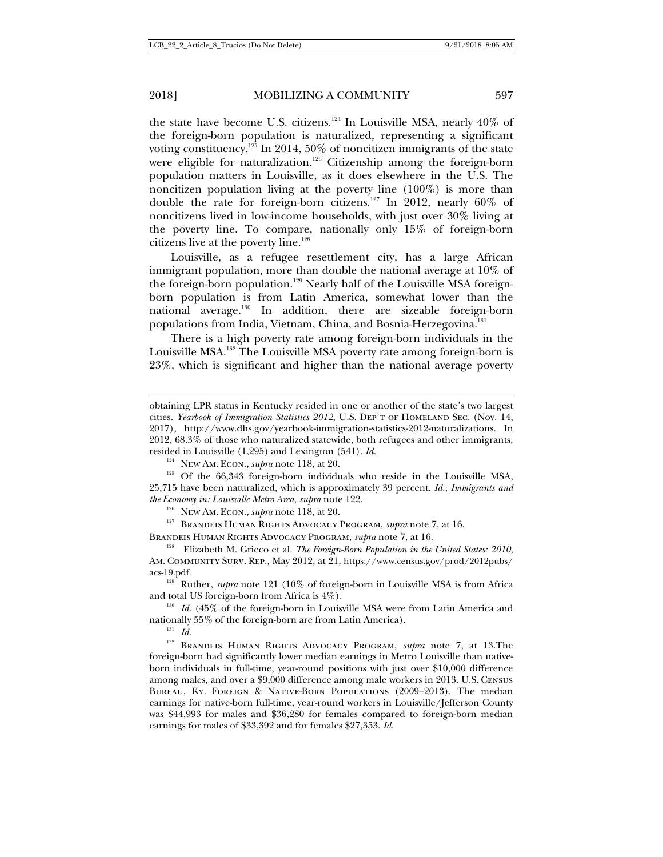the state have become U.S. citizens.<sup>124</sup> In Louisville MSA, nearly  $40\%$  of the foreign-born population is naturalized, representing a significant voting constituency.<sup>125</sup> In 2014, 50% of noncitizen immigrants of the state were eligible for naturalization.<sup>126</sup> Citizenship among the foreign-born population matters in Louisville, as it does elsewhere in the U.S. The noncitizen population living at the poverty line (100%) is more than double the rate for foreign-born citizens.127 In 2012, nearly 60% of noncitizens lived in low-income households, with just over 30% living at the poverty line. To compare, nationally only 15% of foreign-born citizens live at the poverty line.<sup>128</sup>

Louisville, as a refugee resettlement city, has a large African immigrant population, more than double the national average at 10% of the foreign-born population.<sup>129</sup> Nearly half of the Louisville MSA foreignborn population is from Latin America, somewhat lower than the national average.130 In addition, there are sizeable foreign-born populations from India, Vietnam, China, and Bosnia-Herzegovina.<sup>131</sup>

There is a high poverty rate among foreign-born individuals in the Louisville MSA.132 The Louisville MSA poverty rate among foreign-born is 23%, which is significant and higher than the national average poverty

BRANDEIS HUMAN RIGHTS ADVOCACY PROGRAM, *supra* note 7, at 16.<br><sup>128</sup> Elizabeth M. Grieco et al. *The Foreign-Born Population in the United States: 2010*,

Am. Community Surv. Rep., May 2012, at 21, https://www.census.gov/prod/2012pubs/ acs-19.pdf.<br><sup>129</sup> Ruther, *supra* note 121 (10% of foreign-born in Louisville MSA is from Africa

and total US foreign-born from Africa is 4%).

<sup>130</sup> *Id.* (45% of the foreign-born in Louisville MSA were from Latin America and nationally 55% of the foreign-born are from Latin America).  $^{131}$   $\,$   $I\!d$ 

<sup>132</sup> Brandeis Human Rights Advocacy Program, *supra* note 7, at 13.The foreign-born had significantly lower median earnings in Metro Louisville than nativeborn individuals in full-time, year-round positions with just over \$10,000 difference among males, and over a \$9,000 difference among male workers in 2013. U.S. Census Bureau, Ky. Foreign & Native-Born Populations (2009–2013). The median earnings for native-born full-time, year-round workers in Louisville/Jefferson County was \$44,993 for males and \$36,280 for females compared to foreign-born median earnings for males of \$33,392 and for females \$27,353. *Id.* 

obtaining LPR status in Kentucky resided in one or another of the state's two largest cities. *Yearbook of Immigration Statistics 2012*, U.S. Dep't of Homeland Sec. (Nov. 14, 2017), http://www.dhs.gov/yearbook-immigration-statistics-2012-naturalizations. In 2012, 68.3% of those who naturalized statewide, both refugees and other immigrants, resided in Louisville (1,295) and Lexington (541). *Id.* 

<sup>&</sup>lt;sup>124</sup> New Am. Econ., *supra* note 118, at 20. <sup>125</sup> Of the 66,343 foreign-born individuals who reside in the Louisville MSA, 25,715 have been naturalized, which is approximately 39 percent. *Id.*; *Immigrants and the Economy in: Louisville Metro Area, supra* note 122.<br><sup>126</sup> New Am. Econ., *supra* note 118, at 20. <sup>127</sup> Brandeis Human Rights Advocacy Program, *supra* note 7, at 16.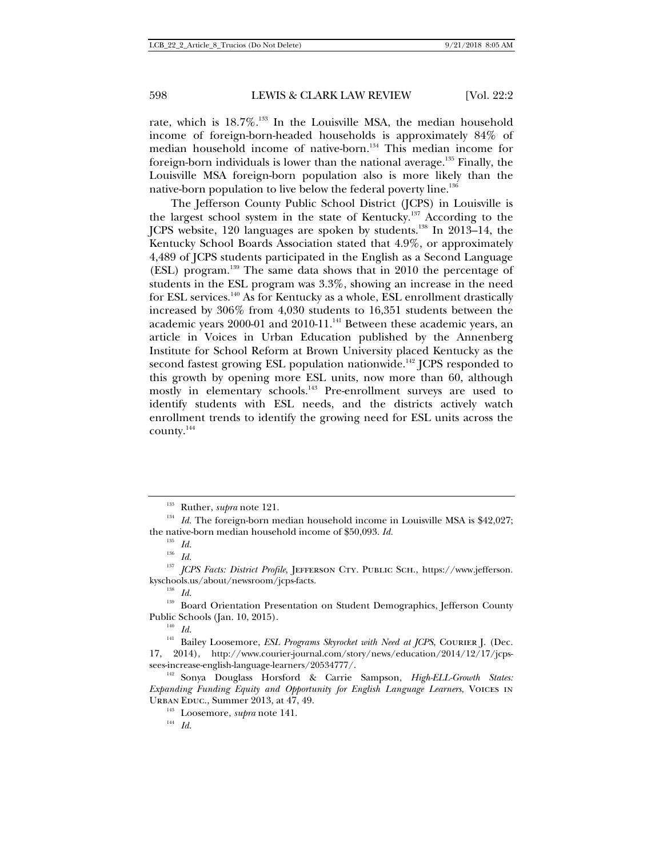rate, which is  $18.7\%$ <sup>133</sup> In the Louisville MSA, the median household income of foreign-born-headed households is approximately 84% of median household income of native-born.<sup>134</sup> This median income for foreign-born individuals is lower than the national average.<sup>135</sup> Finally, the Louisville MSA foreign-born population also is more likely than the native-born population to live below the federal poverty line.<sup>136</sup>

The Jefferson County Public School District (JCPS) in Louisville is the largest school system in the state of Kentucky.<sup>137</sup> According to the JCPS website, 120 languages are spoken by students.138 In 2013–14, the Kentucky School Boards Association stated that 4.9%, or approximately 4,489 of JCPS students participated in the English as a Second Language (ESL) program.139 The same data shows that in 2010 the percentage of students in the ESL program was 3.3%, showing an increase in the need for ESL services.<sup>140</sup> As for Kentucky as a whole, ESL enrollment drastically increased by 306% from 4,030 students to 16,351 students between the academic years 2000-01 and 2010-11.<sup>141</sup> Between these academic years, an article in Voices in Urban Education published by the Annenberg Institute for School Reform at Brown University placed Kentucky as the second fastest growing ESL population nationwide.<sup>142</sup> JCPS responded to this growth by opening more ESL units, now more than 60, although mostly in elementary schools.<sup>143</sup> Pre-enrollment surveys are used to identify students with ESL needs, and the districts actively watch enrollment trends to identify the growing need for ESL units across the county.<sup>144</sup>

<sup>&</sup>lt;sup>133</sup> Ruther, *supra* note 121.<br><sup>134</sup> *Id.* The foreign-born median household income in Louisville MSA is \$42,027; the native-born median household income of \$50,093. *Id.* 

 $^{136}$   $\,$   $\!Id.$ 

<sup>&</sup>lt;sup>137</sup> *JCPS Facts: District Profile*, JEFFERSON CTY. PUBLIC SCH., https://www.jefferson. kyschools.us/about/newsroom/jcps-facts.

<sup>138</sup> *Id.*

<sup>&</sup>lt;sup>139</sup> Board Orientation Presentation on Student Demographics, Jefferson County Public Schools (Jan. 10, 2015). 140 *Id.*

<sup>&</sup>lt;sup>141</sup> Bailey Loosemore, *ESL Programs Skyrocket with Need at JCPS*, COURIER J. (Dec. 17, 2014), http://www.courier-journal.com/story/news/education/2014/12/17/jcpssees-increase-english-language-learners/20534777/.<br><sup>142</sup> Sonya Douglass Horsford & Carrie Sampson, *High-ELL-Growth States:* 

*Expanding Funding Equity and Opportunity for English Language Learners*, Voices in Urban Educ., Summer 2013, at 47, 49.<br><sup>143</sup> Loosemore, *supra* note 141.<br><sup>144</sup> *Id.*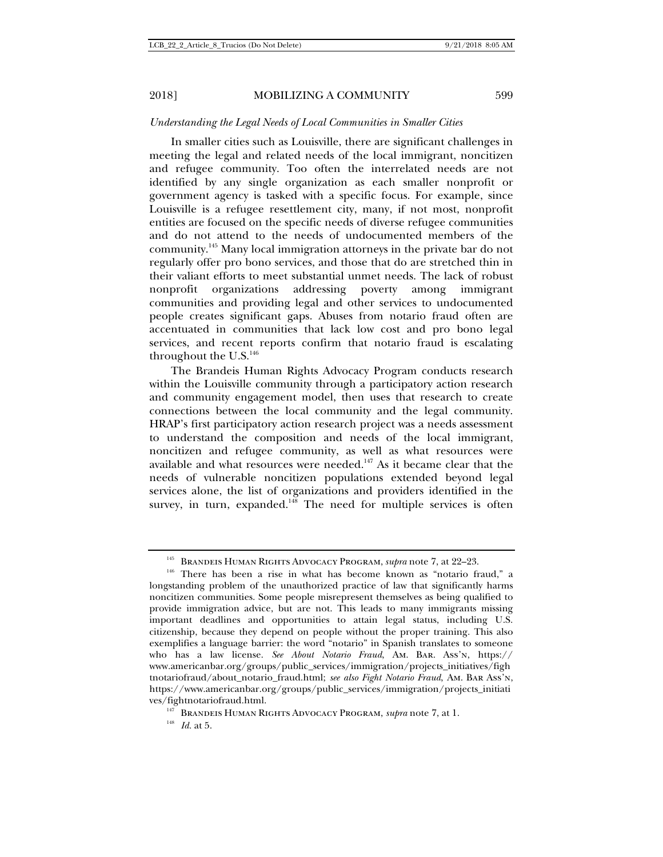### *Understanding the Legal Needs of Local Communities in Smaller Cities*

In smaller cities such as Louisville, there are significant challenges in meeting the legal and related needs of the local immigrant, noncitizen and refugee community. Too often the interrelated needs are not identified by any single organization as each smaller nonprofit or government agency is tasked with a specific focus. For example, since Louisville is a refugee resettlement city, many, if not most, nonprofit entities are focused on the specific needs of diverse refugee communities and do not attend to the needs of undocumented members of the community.145 Many local immigration attorneys in the private bar do not regularly offer pro bono services, and those that do are stretched thin in their valiant efforts to meet substantial unmet needs. The lack of robust nonprofit organizations addressing poverty among immigrant communities and providing legal and other services to undocumented people creates significant gaps. Abuses from notario fraud often are accentuated in communities that lack low cost and pro bono legal services, and recent reports confirm that notario fraud is escalating throughout the U.S.<sup>146</sup>

The Brandeis Human Rights Advocacy Program conducts research within the Louisville community through a participatory action research and community engagement model, then uses that research to create connections between the local community and the legal community. HRAP's first participatory action research project was a needs assessment to understand the composition and needs of the local immigrant, noncitizen and refugee community, as well as what resources were available and what resources were needed.<sup>147</sup> As it became clear that the needs of vulnerable noncitizen populations extended beyond legal services alone, the list of organizations and providers identified in the survey, in turn, expanded.<sup>148</sup> The need for multiple services is often

<sup>&</sup>lt;sup>145</sup> BRANDEIS HUMAN RIGHTS ADVOCACY PROGRAM, *supra* note 7, at 22–23.<br><sup>146</sup> There has been a rise in what has become known as "notario fraud," a

longstanding problem of the unauthorized practice of law that significantly harms noncitizen communities. Some people misrepresent themselves as being qualified to provide immigration advice, but are not. This leads to many immigrants missing important deadlines and opportunities to attain legal status, including U.S. citizenship, because they depend on people without the proper training. This also exemplifies a language barrier: the word "notario" in Spanish translates to someone who has a law license. *See About Notario Fraud*, Am. Bar. Ass'n, https:// www.americanbar.org/groups/public\_services/immigration/projects\_initiatives/figh tnotariofraud/about\_notario\_fraud.html; *see also Fight Notario Fraud*, Am. Bar Ass'n, https://www.americanbar.org/groups/public\_services/immigration/projects\_initiati ves/fightnotariofraud.html. 147 Brandeis Human Rights Advocacy Program, *supra* note 7, at 1. 148 *Id.* at 5.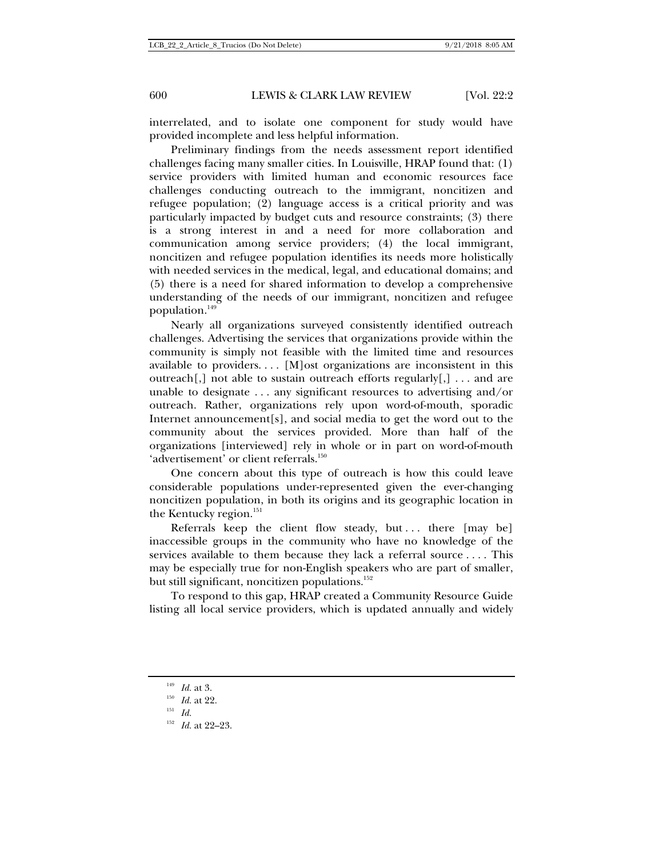interrelated, and to isolate one component for study would have provided incomplete and less helpful information.

Preliminary findings from the needs assessment report identified challenges facing many smaller cities. In Louisville, HRAP found that: (1) service providers with limited human and economic resources face challenges conducting outreach to the immigrant, noncitizen and refugee population; (2) language access is a critical priority and was particularly impacted by budget cuts and resource constraints; (3) there is a strong interest in and a need for more collaboration and communication among service providers; (4) the local immigrant, noncitizen and refugee population identifies its needs more holistically with needed services in the medical, legal, and educational domains; and (5) there is a need for shared information to develop a comprehensive understanding of the needs of our immigrant, noncitizen and refugee population.<sup>149</sup>

Nearly all organizations surveyed consistently identified outreach challenges. Advertising the services that organizations provide within the community is simply not feasible with the limited time and resources available to providers. . . . [M]ost organizations are inconsistent in this outreach[,] not able to sustain outreach efforts regularly[,]  $\dots$  and are unable to designate . . . any significant resources to advertising and/or outreach. Rather, organizations rely upon word-of-mouth, sporadic Internet announcement[s], and social media to get the word out to the community about the services provided. More than half of the organizations [interviewed] rely in whole or in part on word-of-mouth 'advertisement' or client referrals.<sup>150</sup>

One concern about this type of outreach is how this could leave considerable populations under-represented given the ever-changing noncitizen population, in both its origins and its geographic location in the Kentucky region.<sup>151</sup>

Referrals keep the client flow steady, but ... there [may be] inaccessible groups in the community who have no knowledge of the services available to them because they lack a referral source . . . . This may be especially true for non-English speakers who are part of smaller, but still significant, noncitizen populations.<sup>152</sup>

To respond to this gap, HRAP created a Community Resource Guide listing all local service providers, which is updated annually and widely

<sup>&</sup>lt;sup>149</sup> *Id.* at 3.<br><sup>150</sup> *Id.* at 22.<br><sup>151</sup> *Id.* 

<sup>152</sup> *Id.* at 22–23.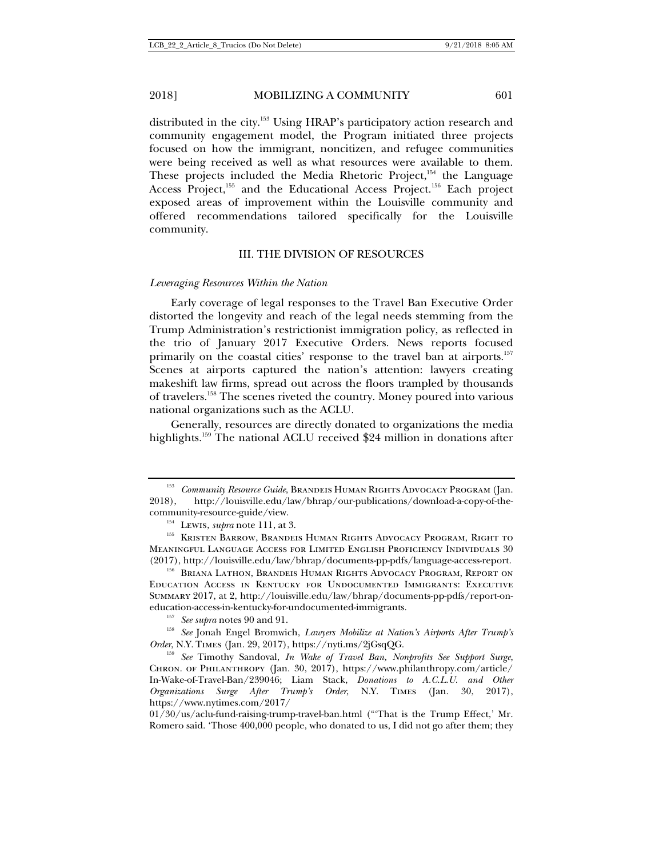distributed in the city.<sup>153</sup> Using HRAP's participatory action research and community engagement model, the Program initiated three projects focused on how the immigrant, noncitizen, and refugee communities were being received as well as what resources were available to them. These projects included the Media Rhetoric Project,<sup>154</sup> the Language Access Project,<sup>155</sup> and the Educational Access Project.<sup>156</sup> Each project exposed areas of improvement within the Louisville community and offered recommendations tailored specifically for the Louisville community.

### III. THE DIVISION OF RESOURCES

### *Leveraging Resources Within the Nation*

Early coverage of legal responses to the Travel Ban Executive Order distorted the longevity and reach of the legal needs stemming from the Trump Administration's restrictionist immigration policy, as reflected in the trio of January 2017 Executive Orders. News reports focused primarily on the coastal cities' response to the travel ban at airports.<sup>157</sup> Scenes at airports captured the nation's attention: lawyers creating makeshift law firms, spread out across the floors trampled by thousands of travelers.158 The scenes riveted the country. Money poured into various national organizations such as the ACLU.

Generally, resources are directly donated to organizations the media highlights.<sup>159</sup> The national ACLU received \$24 million in donations after

<sup>&</sup>lt;sup>153</sup> *Community Resource Guide*, BRANDEIS HUMAN RIGHTS ADVOCACY PROGRAM (Jan. 2018). http://louisville.edu/law/bhrap/our-publications/download-a-copy-of-the-2018), http://louisville.edu/law/bhrap/our-publications/download-a-copy-of-the-

community-resource-guide/view. 154 Lewis, *supra* note 111, at 3. 155 KRISTEN BARROW, BRANDEIS HUMAN RIGHTS ADVOCACY PROGRAM, RIGHT TO Meaningful Language Access for Limited English Proficiency Individuals 30 (2017), http://louisville.edu/law/bhrap/documents-pp-pdfs/language-access-report. 156 Briana Lathon, Brandeis Human Rights Advocacy Program, Report on

Education Access in Kentucky for Undocumented Immigrants: Executive Summary 2017, at 2, http://louisville.edu/law/bhrap/documents-pp-pdfs/report-on-

education-access-in-kentucky-for-undocumented-immigrants.<br><sup>157</sup> *See supra* notes 90 and 91.<br><sup>158</sup> *See* Jonah Engel Bromwich, *Lawyers Mobilize at Nation's Airports After Trump's*<br>*Order*, N.Y. TIMES (Jan. 29, 2017), http

<sup>&</sup>lt;sup>159</sup> See Timothy Sandoval, *In Wake of Travel Ban, Nonprofits See Support Surge*, Chron. of Philanthropy (Jan. 30, 2017), https://www.philanthropy.com/article/ In-Wake-of-Travel-Ban/239046; Liam Stack, *Donations to A.C.L.U. and Other Organizations Surge After Trump's Order*, N.Y. Times (Jan. 30, 2017), https://www.nytimes.com/2017/

<sup>01/30/</sup>us/aclu-fund-raising-trump-travel-ban.html ("'That is the Trump Effect,' Mr. Romero said. 'Those 400,000 people, who donated to us, I did not go after them; they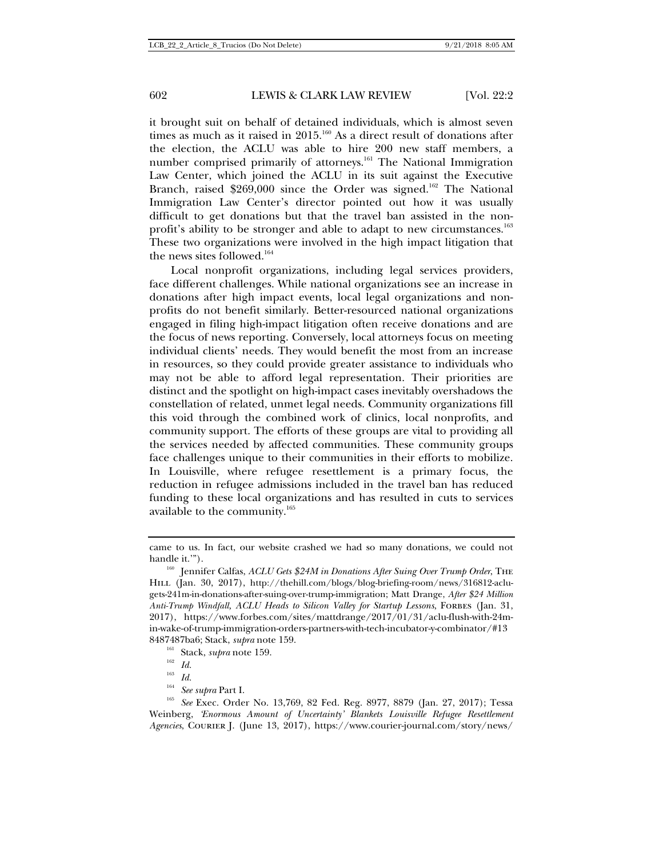it brought suit on behalf of detained individuals, which is almost seven times as much as it raised in  $2015$ .<sup>160</sup> As a direct result of donations after the election, the ACLU was able to hire 200 new staff members, a number comprised primarily of attorneys.<sup>161</sup> The National Immigration Law Center, which joined the ACLU in its suit against the Executive Branch, raised \$269,000 since the Order was signed.<sup>162</sup> The National Immigration Law Center's director pointed out how it was usually difficult to get donations but that the travel ban assisted in the nonprofit's ability to be stronger and able to adapt to new circumstances.<sup>163</sup> These two organizations were involved in the high impact litigation that the news sites followed.<sup>164</sup>

Local nonprofit organizations, including legal services providers, face different challenges. While national organizations see an increase in donations after high impact events, local legal organizations and nonprofits do not benefit similarly. Better-resourced national organizations engaged in filing high-impact litigation often receive donations and are the focus of news reporting. Conversely, local attorneys focus on meeting individual clients' needs. They would benefit the most from an increase in resources, so they could provide greater assistance to individuals who may not be able to afford legal representation. Their priorities are distinct and the spotlight on high-impact cases inevitably overshadows the constellation of related, unmet legal needs. Community organizations fill this void through the combined work of clinics, local nonprofits, and community support. The efforts of these groups are vital to providing all the services needed by affected communities. These community groups face challenges unique to their communities in their efforts to mobilize. In Louisville, where refugee resettlement is a primary focus, the reduction in refugee admissions included in the travel ban has reduced funding to these local organizations and has resulted in cuts to services available to the community. $165$ 

came to us. In fact, our website crashed we had so many donations, we could not handle it."").<br><sup>160</sup> Jennifer Calfas, *ACLU Gets \$24M in Donations After Suing Over Trump Order*, THE

HILL (Jan. 30, 2017), http://thehill.com/blogs/blog-briefing-room/news/316812-aclugets-241m-in-donations-after-suing-over-trump-immigration; Matt Drange, *After \$24 Million Anti-Trump Windfall, ACLU Heads to Silicon Valley for Startup Lessons*, Forbes (Jan. 31, 2017), https://www.forbes.com/sites/mattdrange/2017/01/31/aclu-flush-with-24min-wake-of-trump-immigration-orders-partners-with-tech-incubator-y-combinator/#13

<sup>8487487</sup>ba6; Stack, *supra* note 159.<br><sup>161</sup> Stack, *supra* note 159.<br><sup>163</sup> *Id.*<br><sup>164</sup> *See supra* Part I.<br><sup>165</sup> *See* Exec. Order No. 13,769, 82 Fed. Reg. 8977, 8879 (Jan. 27, 2017); Tessa Weinberg, *'Enormous Amount of Uncertainty' Blankets Louisville Refugee Resettlement Agencies*, Courier J. (June 13, 2017), https://www.courier-journal.com/story/news/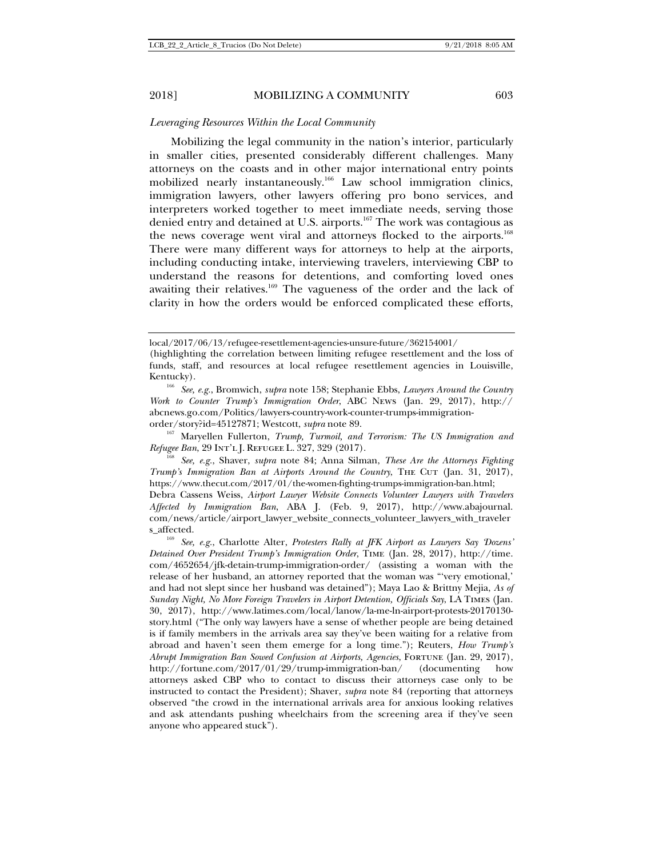### *Leveraging Resources Within the Local Community*

Mobilizing the legal community in the nation's interior, particularly in smaller cities, presented considerably different challenges. Many attorneys on the coasts and in other major international entry points mobilized nearly instantaneously.166 Law school immigration clinics, immigration lawyers, other lawyers offering pro bono services, and interpreters worked together to meet immediate needs, serving those denied entry and detained at U.S. airports.167 The work was contagious as the news coverage went viral and attorneys flocked to the airports.<sup>168</sup> There were many different ways for attorneys to help at the airports, including conducting intake, interviewing travelers, interviewing CBP to understand the reasons for detentions, and comforting loved ones awaiting their relatives.<sup>169</sup> The vagueness of the order and the lack of clarity in how the orders would be enforced complicated these efforts,

order/story?id=45127871; Westcott, *supra* note 89.<br><sup>167</sup> Maryellen Fullerton, *Trump, Turmoil, and Terrorism: The US Immigration and Refugee Ban*, 29 Int'<sup>l</sup> <sup>J</sup>. Refugee <sup>L</sup>. 327, 329 (2017). 168 *See, e.g.*, Shaver, *supra* note 84; Anna Silman, *These Are the Attorneys Fighting* 

*Trump's Immigration Ban at Airports Around the Country*, THE CUT (Jan. 31, 2017), https://www.thecut.com/2017/01/the-women-fighting-trumps-immigration-ban.html; Debra Cassens Weiss, *Airport Lawyer Website Connects Volunteer Lawyers with Travelers Affected by Immigration Ban*, ABA J. (Feb. 9, 2017), http://www.abajournal.

com/news/article/airport\_lawyer\_website\_connects\_volunteer\_lawyers\_with\_traveler s\_affected. 169 *See, e.g.*, Charlotte Alter, *Protesters Rally at JFK Airport as Lawyers Say 'Dozens'* 

local/2017/06/13/refugee-resettlement-agencies-unsure-future/362154001/

<sup>(</sup>highlighting the correlation between limiting refugee resettlement and the loss of funds, staff, and resources at local refugee resettlement agencies in Louisville,

Kentucky). 166 *See, e.g.*, Bromwich, *supra* note 158; Stephanie Ebbs, *Lawyers Around the Country Work to Counter Trump's Immigration Order*, ABC News (Jan. 29, 2017), http:// abcnews.go.com/Politics/lawyers-country-work-counter-trumps-immigration-

*Detained Over President Trump's Immigration Order*, Time (Jan. 28, 2017), http://time. com/4652654/jfk-detain-trump-immigration-order/ (assisting a woman with the release of her husband, an attorney reported that the woman was "'very emotional,' and had not slept since her husband was detained"); Maya Lao & Brittny Mejia, *As of Sunday Night, No More Foreign Travelers in Airport Detention, Officials Say*, LA Times (Jan. 30, 2017), http://www.latimes.com/local/lanow/la-me-ln-airport-protests-20170130 story.html ("The only way lawyers have a sense of whether people are being detained is if family members in the arrivals area say they've been waiting for a relative from abroad and haven't seen them emerge for a long time."); Reuters, *How Trump's Abrupt Immigration Ban Sowed Confusion at Airports, Agencies, FORTUNE* (Jan. 29, 2017), http://fortune.com/2017/01/29/trump-immigration-ban/ (documenting how attorneys asked CBP who to contact to discuss their attorneys case only to be instructed to contact the President); Shaver, *supra* note 84 (reporting that attorneys observed "the crowd in the international arrivals area for anxious looking relatives and ask attendants pushing wheelchairs from the screening area if they've seen anyone who appeared stuck").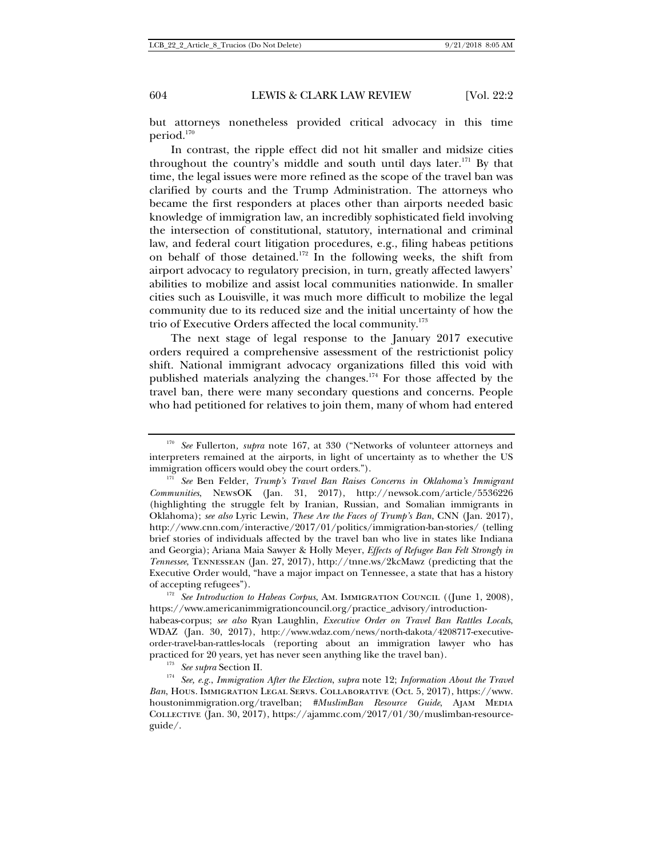but attorneys nonetheless provided critical advocacy in this time period.170

In contrast, the ripple effect did not hit smaller and midsize cities throughout the country's middle and south until days later. $^{171}$  By that time, the legal issues were more refined as the scope of the travel ban was clarified by courts and the Trump Administration. The attorneys who became the first responders at places other than airports needed basic knowledge of immigration law, an incredibly sophisticated field involving the intersection of constitutional, statutory, international and criminal law, and federal court litigation procedures, e.g., filing habeas petitions on behalf of those detained.<sup>172</sup> In the following weeks, the shift from airport advocacy to regulatory precision, in turn, greatly affected lawyers' abilities to mobilize and assist local communities nationwide. In smaller cities such as Louisville, it was much more difficult to mobilize the legal community due to its reduced size and the initial uncertainty of how the trio of Executive Orders affected the local community.173

The next stage of legal response to the January 2017 executive orders required a comprehensive assessment of the restrictionist policy shift. National immigrant advocacy organizations filled this void with published materials analyzing the changes.174 For those affected by the travel ban, there were many secondary questions and concerns. People who had petitioned for relatives to join them, many of whom had entered

<sup>170</sup> *See* Fullerton*, supra* note 167, at 330 ("Networks of volunteer attorneys and interpreters remained at the airports, in light of uncertainty as to whether the US immigration officers would obey the court orders.").<br><sup>171</sup> *See Ben Felder, Trump's Travel Ban Raises Concerns in Oklahoma's Immigrant* 

*Communities*, NewsOK (Jan. 31, 2017), http://newsok.com/article/5536226 (highlighting the struggle felt by Iranian, Russian, and Somalian immigrants in Oklahoma); *see also* Lyric Lewin, *These Are the Faces of Trump's Ban*, CNN (Jan. 2017), http://www.cnn.com/interactive/2017/01/politics/immigration-ban-stories/ (telling brief stories of individuals affected by the travel ban who live in states like Indiana and Georgia); Ariana Maia Sawyer & Holly Meyer, *Effects of Refugee Ban Felt Strongly in Tennessee*, Tennessean (Jan. 27, 2017), http://tnne.ws/2kcMawz (predicting that the Executive Order would, "have a major impact on Tennessee, a state that has a history of accepting refugees").<br><sup>172</sup> *See Introduction to Habeas Corpus*, Am. Immigration Council ((June 1, 2008),

https://www.americanimmigrationcouncil.org/practice\_advisory/introductionhabeas-corpus; *see also* Ryan Laughlin, *Executive Order on Travel Ban Rattles Locals*, WDAZ (Jan. 30, 2017), http://www.wdaz.com/news/north-dakota/4208717-executiveorder-travel-ban-rattles-locals (reporting about an immigration lawyer who has

practiced for 20 years, yet has never seen anything like the travel ban).<br><sup>173</sup> See supra Section II.<br><sup>174</sup> See, e.g., *Immigration After the Election, supra* note 12; *Information About the Travel Ban*, Hous. Immigration Legal Servs. Collaborative (Oct. 5, 2017), https://www. houstonimmigration.org/travelban; #MuslimBan Resource Guide, AJAM MEDIA Collective (Jan. 30, 2017), https://ajammc.com/2017/01/30/muslimban-resourceguide/.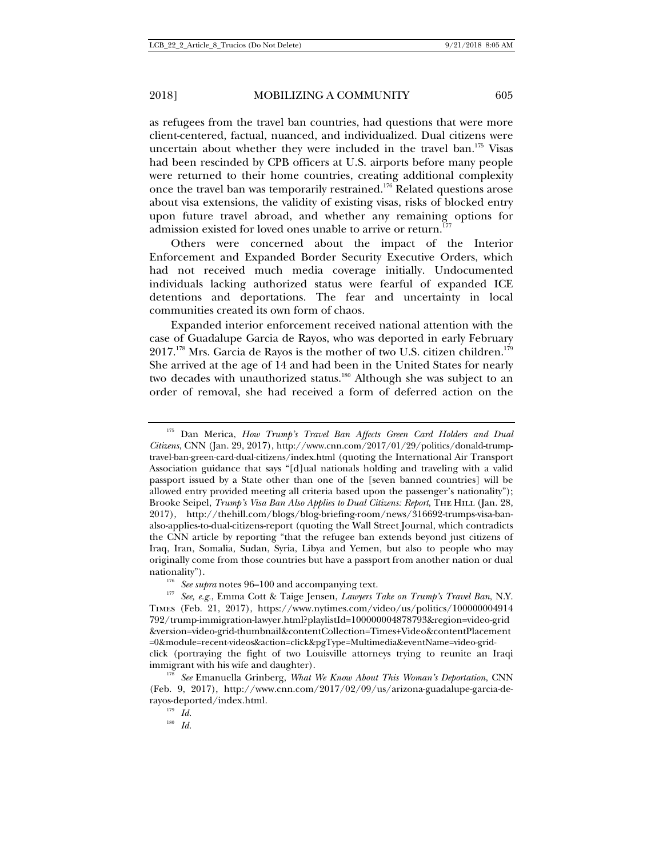as refugees from the travel ban countries, had questions that were more client-centered, factual, nuanced, and individualized. Dual citizens were uncertain about whether they were included in the travel ban.<sup>175</sup> Visas had been rescinded by CPB officers at U.S. airports before many people were returned to their home countries, creating additional complexity once the travel ban was temporarily restrained.176 Related questions arose about visa extensions, the validity of existing visas, risks of blocked entry upon future travel abroad, and whether any remaining options for admission existed for loved ones unable to arrive or return.<sup>177</sup>

Others were concerned about the impact of the Interior Enforcement and Expanded Border Security Executive Orders, which had not received much media coverage initially. Undocumented individuals lacking authorized status were fearful of expanded ICE detentions and deportations. The fear and uncertainty in local communities created its own form of chaos.

Expanded interior enforcement received national attention with the case of Guadalupe Garcia de Rayos, who was deported in early February  $2017.^{178}$  Mrs. Garcia de Rayos is the mother of two U.S. citizen children.<sup>179</sup> She arrived at the age of 14 and had been in the United States for nearly two decades with unauthorized status.<sup>180</sup> Although she was subject to an order of removal, she had received a form of deferred action on the

<sup>&</sup>lt;sup>175</sup> Dan Merica, *How Trump's Travel Ban Affects Green Card Holders and Dual Citizens*, CNN (Jan. 29, 2017), http://www.cnn.com/2017/01/29/politics/donald-trumptravel-ban-green-card-dual-citizens/index.html (quoting the International Air Transport Association guidance that says "[d]ual nationals holding and traveling with a valid passport issued by a State other than one of the [seven banned countries] will be allowed entry provided meeting all criteria based upon the passenger's nationality"); Brooke Seipel, *Trump's Visa Ban Also Applies to Dual Citizens: Report*, The Hill (Jan. 28, 2017), http://thehill.com/blogs/blog-briefing-room/news/316692-trumps-visa-banalso-applies-to-dual-citizens-report (quoting the Wall Street Journal, which contradicts the CNN article by reporting "that the refugee ban extends beyond just citizens of Iraq, Iran, Somalia, Sudan, Syria, Libya and Yemen, but also to people who may originally come from those countries but have a passport from another nation or dual

nationality"). 176 *See supra* notes 96–100 and accompanying text. 177 *See, e.g.*, Emma Cott & Taige Jensen, *Lawyers Take on Trump's Travel Ban*, N.Y. Times (Feb. 21, 2017), https://www.nytimes.com/video/us/politics/100000004914 792/trump-immigration-lawyer.html?playlistId=100000004878793&region=video-grid &version=video-grid-thumbnail&contentCollection=Times+Video&contentPlacement =0&module=recent-videos&action=click&pgType=Multimedia&eventName=video-gridclick (portraying the fight of two Louisville attorneys trying to reunite an Iraqi

immigrant with his wife and daughter). 178 *See* Emanuella Grinberg, *What We Know About This Woman's Deportation*, CNN (Feb. 9, 2017), http://www.cnn.com/2017/02/09/us/arizona-guadalupe-garcia-derayos-deported/index.html. 179 *Id.*

<sup>180</sup> *Id.*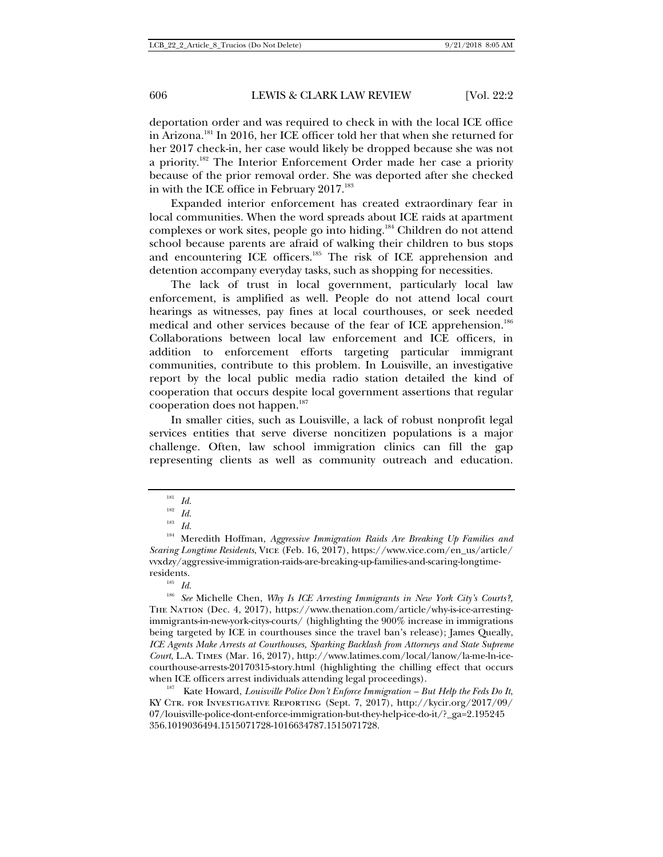deportation order and was required to check in with the local ICE office in Arizona.181 In 2016, her ICE officer told her that when she returned for her 2017 check-in, her case would likely be dropped because she was not a priority.182 The Interior Enforcement Order made her case a priority because of the prior removal order. She was deported after she checked in with the ICE office in February 2017.<sup>183</sup>

Expanded interior enforcement has created extraordinary fear in local communities. When the word spreads about ICE raids at apartment complexes or work sites, people go into hiding.184 Children do not attend school because parents are afraid of walking their children to bus stops and encountering ICE officers.<sup>185</sup> The risk of ICE apprehension and detention accompany everyday tasks, such as shopping for necessities.

The lack of trust in local government, particularly local law enforcement, is amplified as well. People do not attend local court hearings as witnesses, pay fines at local courthouses, or seek needed medical and other services because of the fear of ICE apprehension.186 Collaborations between local law enforcement and ICE officers, in addition to enforcement efforts targeting particular immigrant communities, contribute to this problem. In Louisville, an investigative report by the local public media radio station detailed the kind of cooperation that occurs despite local government assertions that regular cooperation does not happen.<sup>187</sup>

In smaller cities, such as Louisville, a lack of robust nonprofit legal services entities that serve diverse noncitizen populations is a major challenge. Often, law school immigration clinics can fill the gap representing clients as well as community outreach and education.

KY Ctr. for Investigative Reporting (Sept. 7, 2017), http://kycir.org/2017/09/ 07/louisville-police-dont-enforce-immigration-but-they-help-ice-do-it/?\_ga=2.195245 356.1019036494.1515071728-1016634787.1515071728.

 $\frac{181}{182}$  *Id.* 

 $\frac{182}{183}$  *Id.* 

<sup>183</sup> *Id.*

<sup>184</sup> Meredith Hoffman, *Aggressive Immigration Raids Are Breaking Up Families and Scaring Longtime Residents*, Vice (Feb. 16, 2017), https://www.vice.com/en\_us/article/ vvxdzy/aggressive-immigration-raids-are-breaking-up-families-and-scaring-longtimeresidents.<br> $I<sup>85</sup>$  *Id.* 

<sup>186</sup> *See* Michelle Chen, *Why Is ICE Arresting Immigrants in New York City's Courts?,* The Nation (Dec. 4, 2017), https://www.thenation.com/article/why-is-ice-arrestingimmigrants-in-new-york-citys-courts/ (highlighting the 900% increase in immigrations being targeted by ICE in courthouses since the travel ban's release); James Queally, *ICE Agents Make Arrests at Courthouses, Sparking Backlash from Attorneys and State Supreme Court*, L.A. Times (Mar. 16, 2017), http://www.latimes.com/local/lanow/la-me-ln-icecourthouse-arrests-20170315-story.html (highlighting the chilling effect that occurs when ICE officers arrest individuals attending legal proceedings).<br><sup>187</sup> Kate Howard, *Louisville Police Don't Enforce Immigration – But Help the Feds Do It*,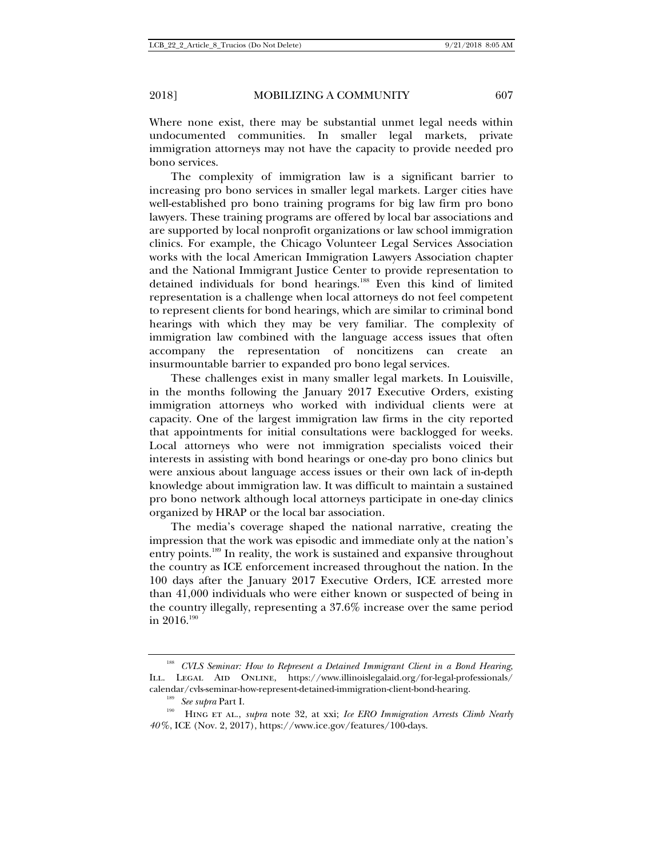Where none exist, there may be substantial unmet legal needs within undocumented communities. In smaller legal markets, private immigration attorneys may not have the capacity to provide needed pro bono services.

The complexity of immigration law is a significant barrier to increasing pro bono services in smaller legal markets. Larger cities have well-established pro bono training programs for big law firm pro bono lawyers. These training programs are offered by local bar associations and are supported by local nonprofit organizations or law school immigration clinics. For example, the Chicago Volunteer Legal Services Association works with the local American Immigration Lawyers Association chapter and the National Immigrant Justice Center to provide representation to detained individuals for bond hearings.<sup>188</sup> Even this kind of limited representation is a challenge when local attorneys do not feel competent to represent clients for bond hearings, which are similar to criminal bond hearings with which they may be very familiar. The complexity of immigration law combined with the language access issues that often accompany the representation of noncitizens can create an insurmountable barrier to expanded pro bono legal services.

These challenges exist in many smaller legal markets. In Louisville, in the months following the January 2017 Executive Orders, existing immigration attorneys who worked with individual clients were at capacity. One of the largest immigration law firms in the city reported that appointments for initial consultations were backlogged for weeks. Local attorneys who were not immigration specialists voiced their interests in assisting with bond hearings or one-day pro bono clinics but were anxious about language access issues or their own lack of in-depth knowledge about immigration law. It was difficult to maintain a sustained pro bono network although local attorneys participate in one-day clinics organized by HRAP or the local bar association.

The media's coverage shaped the national narrative, creating the impression that the work was episodic and immediate only at the nation's entry points.189 In reality, the work is sustained and expansive throughout the country as ICE enforcement increased throughout the nation. In the 100 days after the January 2017 Executive Orders, ICE arrested more than 41,000 individuals who were either known or suspected of being in the country illegally, representing a 37.6% increase over the same period in  $2016.^{190}$ 

<sup>188</sup> *CVLS Seminar: How to Represent a Detained Immigrant Client in a Bond Hearing*, Ill. Legal Aid Online, https://www.illinoislegalaid.org/for-legal-professionals/

calendar/cvls-seminar-how-represent-detained-immigration-client-bond-hearing. 189 *See supra* Part I. 190 Hing et al., *supra* note 32, at xxi; *Ice ERO Immigration Arrests Climb Nearly 40%*, ICE (Nov. 2, 2017), https://www.ice.gov/features/100-days.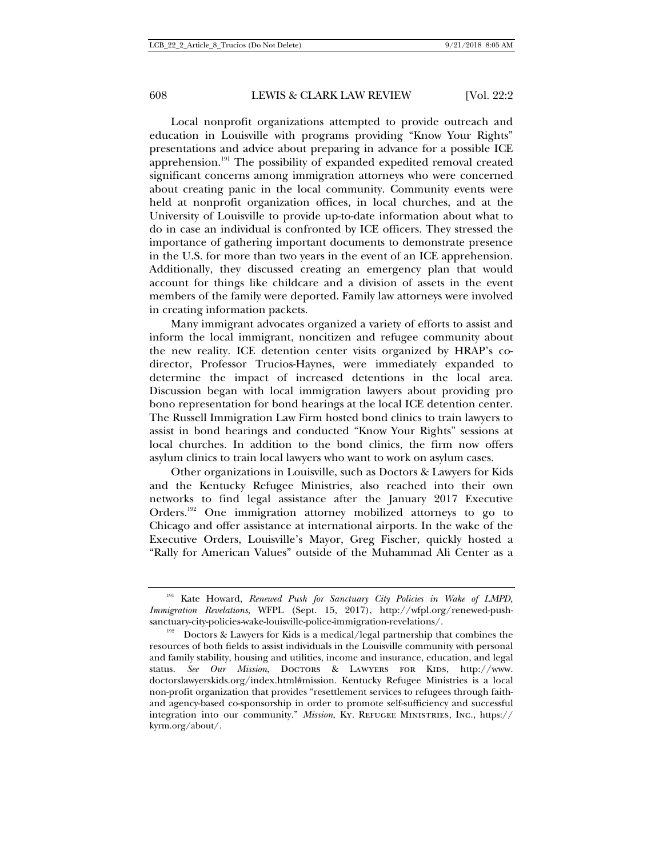Local nonprofit organizations attempted to provide outreach and education in Louisville with programs providing "Know Your Rights" presentations and advice about preparing in advance for a possible ICE apprehension.191 The possibility of expanded expedited removal created significant concerns among immigration attorneys who were concerned about creating panic in the local community. Community events were held at nonprofit organization offices, in local churches, and at the University of Louisville to provide up-to-date information about what to do in case an individual is confronted by ICE officers. They stressed the importance of gathering important documents to demonstrate presence in the U.S. for more than two years in the event of an ICE apprehension. Additionally, they discussed creating an emergency plan that would account for things like childcare and a division of assets in the event members of the family were deported. Family law attorneys were involved in creating information packets.

Many immigrant advocates organized a variety of efforts to assist and inform the local immigrant, noncitizen and refugee community about the new reality. ICE detention center visits organized by HRAP's codirector, Professor Trucios-Haynes, were immediately expanded to determine the impact of increased detentions in the local area. Discussion began with local immigration lawyers about providing pro bono representation for bond hearings at the local ICE detention center. The Russell Immigration Law Firm hosted bond clinics to train lawyers to assist in bond hearings and conducted "Know Your Rights" sessions at local churches. In addition to the bond clinics, the firm now offers asylum clinics to train local lawyers who want to work on asylum cases.

Other organizations in Louisville, such as Doctors & Lawyers for Kids and the Kentucky Refugee Ministries, also reached into their own networks to find legal assistance after the January 2017 Executive Orders.192 One immigration attorney mobilized attorneys to go to Chicago and offer assistance at international airports. In the wake of the Executive Orders, Louisville's Mayor, Greg Fischer, quickly hosted a "Rally for American Values" outside of the Muhammad Ali Center as a

<sup>&</sup>lt;sup>191</sup> Kate Howard, *Renewed Push for Sanctuary City Policies in Wake of LMPD*, *Immigration Revelations*, WFPL (Sept. 15, 2017), http://wfpl.org/renewed-push-

sanctuary-city-policies-wake-louisville-police-immigration-revelations/.<br><sup>192</sup> Doctors & Lawyers for Kids is a medical/legal partnership that combines the resources of both fields to assist individuals in the Louisville community with personal and family stability, housing and utilities, income and insurance, education, and legal status. See Our Mission, DOCTORS & LAWYERS FOR KIDS, http://www. doctorslawyerskids.org/index.html#mission. Kentucky Refugee Ministries is a local non-profit organization that provides "resettlement services to refugees through faithand agency-based co-sponsorship in order to promote self-sufficiency and successful integration into our community." *Mission*, Ky. Refugee Ministries, Inc., https:// kyrm.org/about/.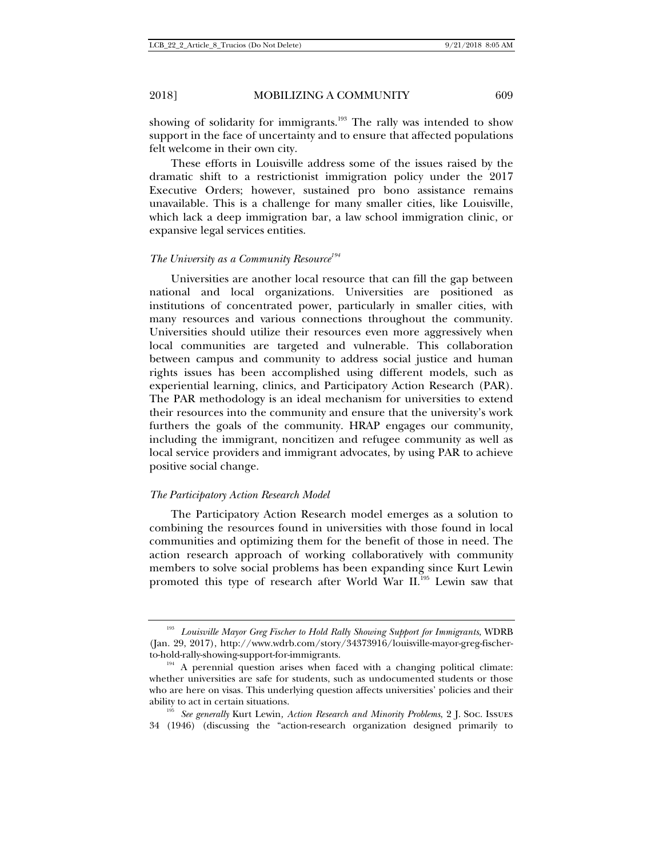showing of solidarity for immigrants.<sup>193</sup> The rally was intended to show support in the face of uncertainty and to ensure that affected populations felt welcome in their own city.

These efforts in Louisville address some of the issues raised by the dramatic shift to a restrictionist immigration policy under the 2017 Executive Orders; however, sustained pro bono assistance remains unavailable. This is a challenge for many smaller cities, like Louisville, which lack a deep immigration bar, a law school immigration clinic, or expansive legal services entities.

## *The University as a Community Resource194*

Universities are another local resource that can fill the gap between national and local organizations. Universities are positioned as institutions of concentrated power, particularly in smaller cities, with many resources and various connections throughout the community. Universities should utilize their resources even more aggressively when local communities are targeted and vulnerable. This collaboration between campus and community to address social justice and human rights issues has been accomplished using different models, such as experiential learning, clinics, and Participatory Action Research (PAR). The PAR methodology is an ideal mechanism for universities to extend their resources into the community and ensure that the university's work furthers the goals of the community. HRAP engages our community, including the immigrant, noncitizen and refugee community as well as local service providers and immigrant advocates, by using PAR to achieve positive social change.

### *The Participatory Action Research Model*

The Participatory Action Research model emerges as a solution to combining the resources found in universities with those found in local communities and optimizing them for the benefit of those in need. The action research approach of working collaboratively with community members to solve social problems has been expanding since Kurt Lewin promoted this type of research after World War II.195 Lewin saw that

<sup>193</sup> *Louisville Mayor Greg Fischer to Hold Rally Showing Support for Immigrants*, WDRB (Jan. 29, 2017), http://www.wdrb.com/story/34373916/louisville-mayor-greg-fischerto-hold-rally-showing-support-for-immigrants.  $\frac{194}{194}$  A perennial question arises when faced with a changing political climate:

whether universities are safe for students, such as undocumented students or those who are here on visas. This underlying question affects universities' policies and their ability to act in certain situations. 195 *See generally* Kurt Lewin*, Action Research and Minority Problems*, 2 J. Soc. Issues

<sup>34 (1946) (</sup>discussing the "action-research organization designed primarily to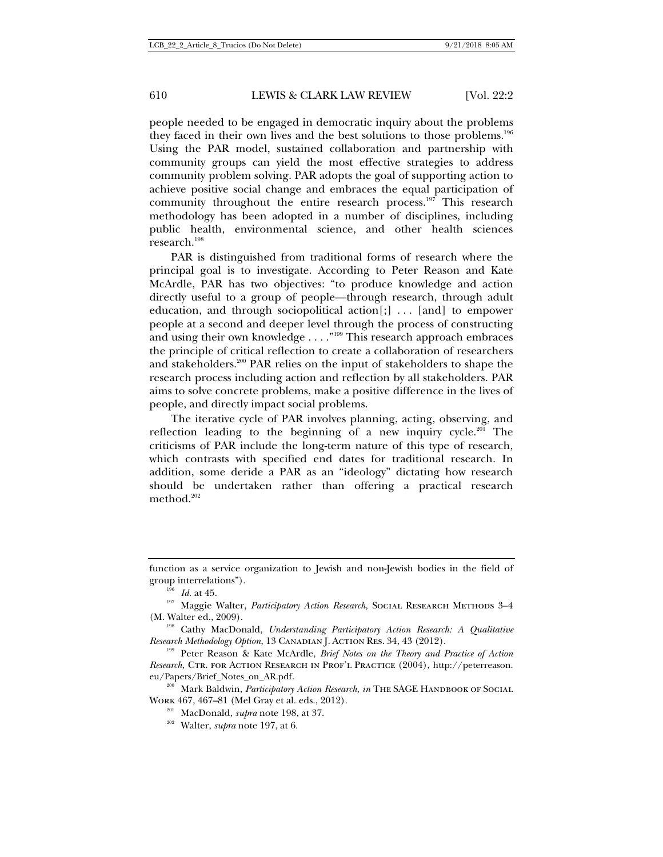people needed to be engaged in democratic inquiry about the problems they faced in their own lives and the best solutions to those problems.<sup>196</sup> Using the PAR model, sustained collaboration and partnership with community groups can yield the most effective strategies to address community problem solving. PAR adopts the goal of supporting action to achieve positive social change and embraces the equal participation of community throughout the entire research process.<sup>197</sup> This research methodology has been adopted in a number of disciplines, including public health, environmental science, and other health sciences research.<sup>198</sup>

PAR is distinguished from traditional forms of research where the principal goal is to investigate. According to Peter Reason and Kate McArdle, PAR has two objectives: "to produce knowledge and action directly useful to a group of people—through research, through adult education, and through sociopolitical action[;] . . . [and] to empower people at a second and deeper level through the process of constructing and using their own knowledge . . . ."199 This research approach embraces the principle of critical reflection to create a collaboration of researchers and stakeholders.200 PAR relies on the input of stakeholders to shape the research process including action and reflection by all stakeholders. PAR aims to solve concrete problems, make a positive difference in the lives of people, and directly impact social problems.

The iterative cycle of PAR involves planning, acting, observing, and reflection leading to the beginning of a new inquiry cycle.<sup>201</sup> The criticisms of PAR include the long-term nature of this type of research, which contrasts with specified end dates for traditional research. In addition, some deride a PAR as an "ideology" dictating how research should be undertaken rather than offering a practical research method.<sup>202</sup>

Work 467, 467–81 (Mel Gray et al. eds., 2012). 201 MacDonald, *supra* note 198, at 37. 202 Walter, *supra* note 197, at 6.

function as a service organization to Jewish and non-Jewish bodies in the field of

group interrelations").<br><sup>196</sup> *Id.* at 45. 197 Maggie Walter, *Participatory Action Research*, Social Research Methods 3–4 (M. Walter ed., 2009).<br><sup>198</sup> Cathy MacDonald, *Understanding Participatory Action Research: A Qualitative* 

*Research Methodology Option*, 13 CANADIAN J. ACTION RES. 34, 43 (2012).<br><sup>199</sup> Peter Reason & Kate McArdle, *Brief Notes on the Theory and Practice of Action* 

*Research*, Ctr. for Action Research in Prof'l Practice (2004), http://peterreason. eu/Papers/Brief\_Notes\_on\_AR.pdf. 200 Mark Baldwin, *Participatory Action Research*, *in* The SAGE Handbook of Social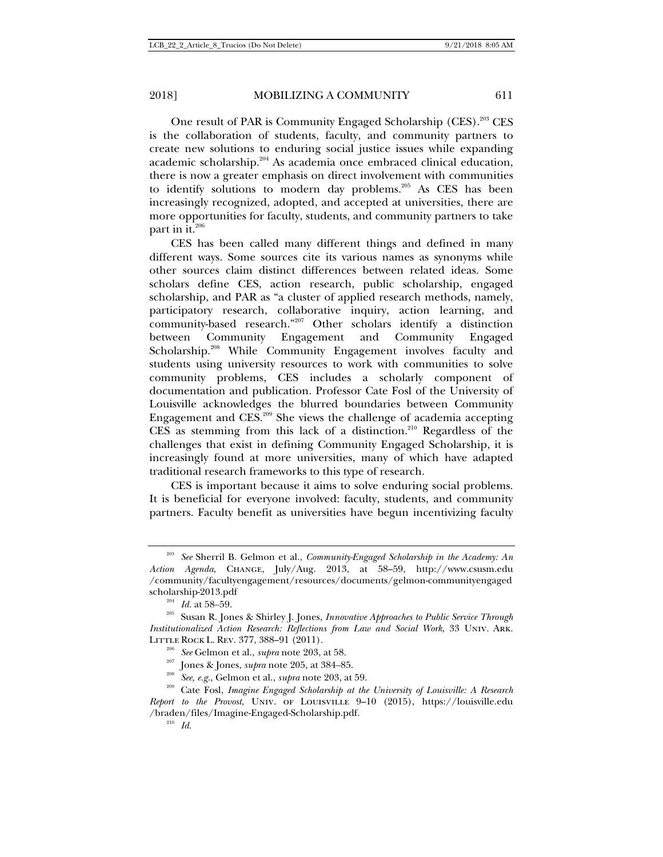One result of PAR is Community Engaged Scholarship (CES).203 CES is the collaboration of students, faculty, and community partners to create new solutions to enduring social justice issues while expanding academic scholarship.<sup>204</sup> As academia once embraced clinical education, there is now a greater emphasis on direct involvement with communities to identify solutions to modern day problems.<sup>205</sup> As CES has been increasingly recognized, adopted, and accepted at universities, there are more opportunities for faculty, students, and community partners to take part in it. $206$ 

CES has been called many different things and defined in many different ways. Some sources cite its various names as synonyms while other sources claim distinct differences between related ideas. Some scholars define CES, action research, public scholarship, engaged scholarship, and PAR as "a cluster of applied research methods, namely, participatory research, collaborative inquiry, action learning, and community-based research."207 Other scholars identify a distinction between Community Engagement and Community Engaged Scholarship.<sup>208</sup> While Community Engagement involves faculty and students using university resources to work with communities to solve community problems, CES includes a scholarly component of documentation and publication. Professor Cate Fosl of the University of Louisville acknowledges the blurred boundaries between Community Engagement and  $CES.<sup>209</sup>$  She views the challenge of academia accepting CES as stemming from this lack of a distinction.<sup>210</sup> Regardless of the challenges that exist in defining Community Engaged Scholarship, it is increasingly found at more universities, many of which have adapted traditional research frameworks to this type of research.

CES is important because it aims to solve enduring social problems. It is beneficial for everyone involved: faculty, students, and community partners. Faculty benefit as universities have begun incentivizing faculty

<sup>203</sup> *See* Sherril B. Gelmon et al., *Community-Engaged Scholarship in the Academy: An Action Agenda*, Change, July/Aug. 2013, at 58–59, http://www.csusm.edu /community/facultyengagement/resources/documents/gelmon-communityengaged

scholarship-2013.pdf<br><sup>204</sup> *Id.* at 58–59. <br><sup>205</sup> Susan R. Jones & Shirley J. Jones, *Innovative Approaches to Public Service Through Institutionalized Action Research: Reflections from Law and Social Work*, 33 Univ. Ark. LITTLE ROCK L. REV. 377, 388–91 (2011).<br>
<sup>206</sup> See Gelmon et al., *supra* note 203, at 58.<br>
<sup>207</sup> Jones & Jones, *supra* note 205, at 384–85.<br>
<sup>208</sup> See, e.g., Gelmon et al., *supra* note 203, at 59.<br>
<sup>209</sup> Cate Fosl, *Im* 

*Report to the Provost*, Univ. of Louisville 9–10 (2015), https://louisville.edu /braden/files/Imagine-Engaged-Scholarship.pdf. 210 *Id.*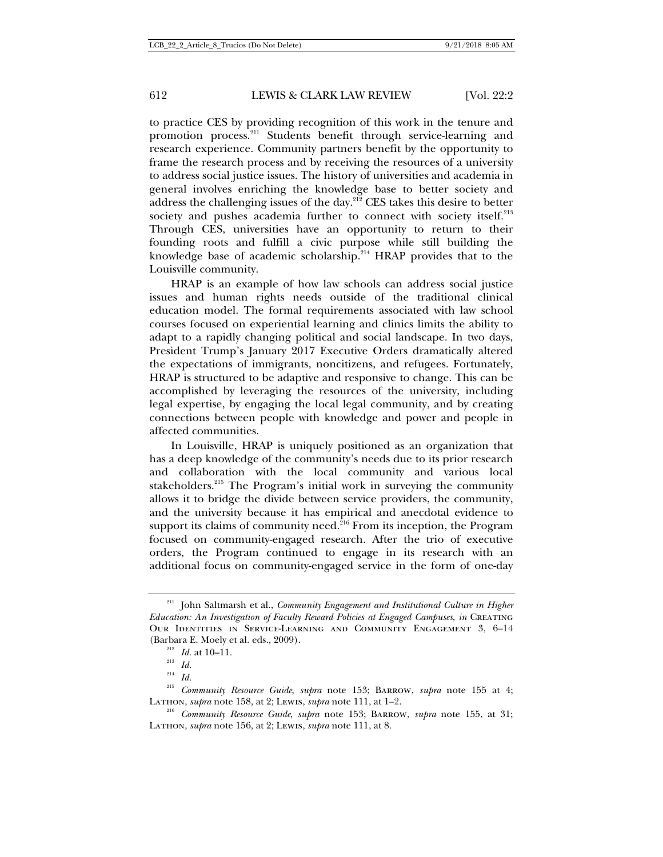to practice CES by providing recognition of this work in the tenure and promotion process.211 Students benefit through service-learning and research experience. Community partners benefit by the opportunity to frame the research process and by receiving the resources of a university to address social justice issues. The history of universities and academia in general involves enriching the knowledge base to better society and address the challenging issues of the day.<sup>212</sup> CES takes this desire to better society and pushes academia further to connect with society itself.<sup>213</sup> Through CES, universities have an opportunity to return to their founding roots and fulfill a civic purpose while still building the knowledge base of academic scholarship.<sup>214</sup> HRAP provides that to the Louisville community.

HRAP is an example of how law schools can address social justice issues and human rights needs outside of the traditional clinical education model. The formal requirements associated with law school courses focused on experiential learning and clinics limits the ability to adapt to a rapidly changing political and social landscape. In two days, President Trump's January 2017 Executive Orders dramatically altered the expectations of immigrants, noncitizens, and refugees. Fortunately, HRAP is structured to be adaptive and responsive to change. This can be accomplished by leveraging the resources of the university, including legal expertise, by engaging the local legal community, and by creating connections between people with knowledge and power and people in affected communities.

In Louisville, HRAP is uniquely positioned as an organization that has a deep knowledge of the community's needs due to its prior research and collaboration with the local community and various local stakeholders.<sup>215</sup> The Program's initial work in surveying the community allows it to bridge the divide between service providers, the community, and the university because it has empirical and anecdotal evidence to support its claims of community need. ${}^{216}$  From its inception, the Program focused on community-engaged research. After the trio of executive orders, the Program continued to engage in its research with an additional focus on community-engaged service in the form of one-day

<sup>&</sup>lt;sup>211</sup> John Saltmarsh et al., *Community Engagement and Institutional Culture in Higher Education: An Investigation of Faculty Reward Policies at Engaged Campuses*, *in* Creating Our Identities in Service-Learning and Community Engagement 3, 6–14 (Barbara E. Moely et al. eds., 2009). 212 *Id.* at 10–11. 213 *Id.*

<sup>214</sup> *Id.*

<sup>215</sup> *Community Resource Guide*, *supra* note 153; Barrow, *supra* note 155 at 4; Lathon, *supra* note 158, at 2; Lewis, *supra* note 111, at 1–2.<br><sup>216</sup> *Community Resource Guide*, *supra* note 153; BARROW, *supra* note 155, at 31;

Lathon, *supra* note 156, at 2; Lewis, *supra* note 111, at 8.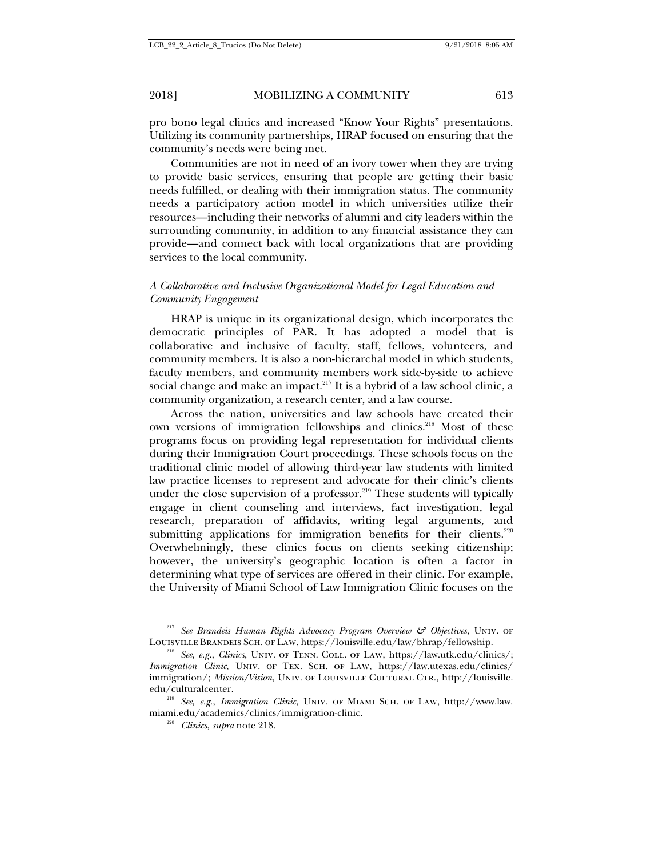pro bono legal clinics and increased "Know Your Rights" presentations. Utilizing its community partnerships, HRAP focused on ensuring that the community's needs were being met.

Communities are not in need of an ivory tower when they are trying to provide basic services, ensuring that people are getting their basic needs fulfilled, or dealing with their immigration status. The community needs a participatory action model in which universities utilize their resources—including their networks of alumni and city leaders within the surrounding community, in addition to any financial assistance they can provide—and connect back with local organizations that are providing services to the local community.

# *A Collaborative and Inclusive Organizational Model for Legal Education and Community Engagement*

HRAP is unique in its organizational design, which incorporates the democratic principles of PAR. It has adopted a model that is collaborative and inclusive of faculty, staff, fellows, volunteers, and community members. It is also a non-hierarchal model in which students, faculty members, and community members work side-by-side to achieve social change and make an impact. $217$  It is a hybrid of a law school clinic, a community organization, a research center, and a law course.

Across the nation, universities and law schools have created their own versions of immigration fellowships and clinics.<sup>218</sup> Most of these programs focus on providing legal representation for individual clients during their Immigration Court proceedings. These schools focus on the traditional clinic model of allowing third-year law students with limited law practice licenses to represent and advocate for their clinic's clients under the close supervision of a professor.<sup>219</sup> These students will typically engage in client counseling and interviews, fact investigation, legal research, preparation of affidavits, writing legal arguments, and submitting applications for immigration benefits for their clients.<sup>220</sup> Overwhelmingly, these clinics focus on clients seeking citizenship; however, the university's geographic location is often a factor in determining what type of services are offered in their clinic. For example, the University of Miami School of Law Immigration Clinic focuses on the

<sup>&</sup>lt;sup>217</sup> See Brandeis Human Rights Advocacy Program Overview & Objectives, UNIV. OF Louisville Brandeis Sch. of Law, https://louisville.edu/law/bhrap/fellowship. 218 *See, e.g.*, *Clinics*, Univ. of Tenn. Coll. of Law, https://law.utk.edu/clinics/;

*Immigration Clinic*, Univ. of Tex. Sch. of Law, https://law.utexas.edu/clinics/ immigration/; *Mission/Vision*, UNIV. OF LOUISVILLE CULTURAL CTR., http://louisville. edu/culturalcenter. 219 *See, e.g.*, *Immigration Clinic*, Univ. of Miami Sch. of Law, http://www.law.

miami.edu/academics/clinics/immigration-clinic. 220 *Clinics*, *supra* note 218.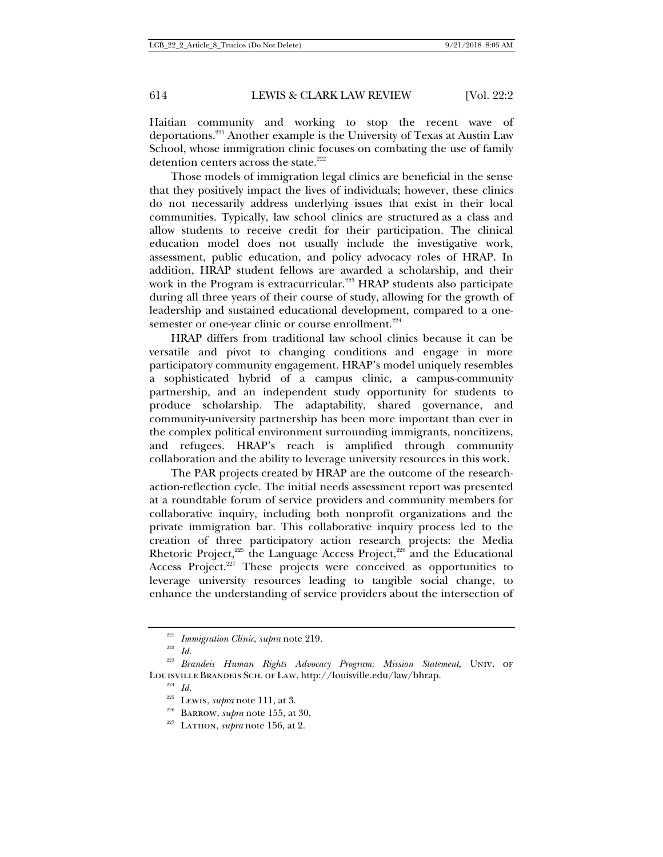Haitian community and working to stop the recent wave of deportations.221 Another example is the University of Texas at Austin Law School, whose immigration clinic focuses on combating the use of family detention centers across the state.<sup>222</sup>

Those models of immigration legal clinics are beneficial in the sense that they positively impact the lives of individuals; however, these clinics do not necessarily address underlying issues that exist in their local communities. Typically, law school clinics are structured as a class and allow students to receive credit for their participation. The clinical education model does not usually include the investigative work, assessment, public education, and policy advocacy roles of HRAP. In addition, HRAP student fellows are awarded a scholarship, and their work in the Program is extracurricular.<sup>223</sup> HRAP students also participate during all three years of their course of study, allowing for the growth of leadership and sustained educational development, compared to a onesemester or one-year clinic or course enrollment.<sup>224</sup>

HRAP differs from traditional law school clinics because it can be versatile and pivot to changing conditions and engage in more participatory community engagement. HRAP's model uniquely resembles a sophisticated hybrid of a campus clinic, a campus-community partnership, and an independent study opportunity for students to produce scholarship. The adaptability, shared governance, and community-university partnership has been more important than ever in the complex political environment surrounding immigrants, noncitizens, and refugees. HRAP's reach is amplified through community collaboration and the ability to leverage university resources in this work.

The PAR projects created by HRAP are the outcome of the researchaction-reflection cycle. The initial needs assessment report was presented at a roundtable forum of service providers and community members for collaborative inquiry, including both nonprofit organizations and the private immigration bar. This collaborative inquiry process led to the creation of three participatory action research projects: the Media Rhetoric Project, $225$  the Language Access Project, $226$  and the Educational Access Project.<sup>227</sup> These projects were conceived as opportunities to leverage university resources leading to tangible social change, to enhance the understanding of service providers about the intersection of

<sup>221</sup> *Immigration Clinic*, *supra* note 219. 222 *Id.*<sup>223</sup> *Brandeis Human Rights Advocacy Program: Mission Statement*, Univ. of Louisville Brandeis Sch. of Law, http://louisville.edu/law/bhrap.<br><sup>224</sup> *Id.* <sup>225</sup> Lewis, *supra* note 111, at 3.

<sup>&</sup>lt;sup>226</sup> Barrow, *supra* note 155, at 30.<br><sup>227</sup> Lathon, *supra* note 156, at 2.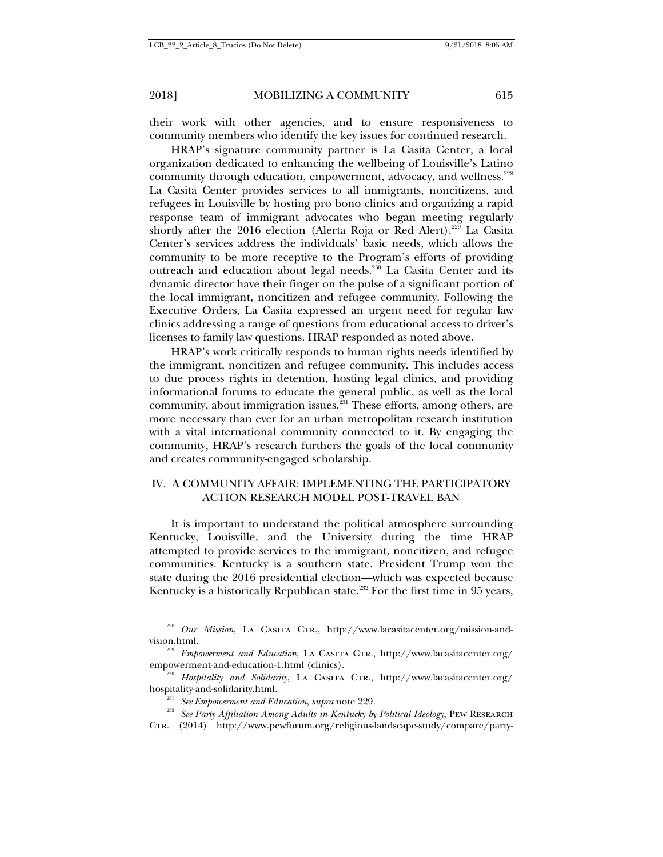their work with other agencies, and to ensure responsiveness to community members who identify the key issues for continued research.

HRAP's signature community partner is La Casita Center, a local organization dedicated to enhancing the wellbeing of Louisville's Latino community through education, empowerment, advocacy, and wellness.<sup>228</sup> La Casita Center provides services to all immigrants, noncitizens, and refugees in Louisville by hosting pro bono clinics and organizing a rapid response team of immigrant advocates who began meeting regularly shortly after the 2016 election (Alerta Roja or Red Alert).<sup>229</sup> La Casita Center's services address the individuals' basic needs, which allows the community to be more receptive to the Program's efforts of providing outreach and education about legal needs.<sup>230</sup> La Casita Center and its dynamic director have their finger on the pulse of a significant portion of the local immigrant, noncitizen and refugee community. Following the Executive Orders, La Casita expressed an urgent need for regular law clinics addressing a range of questions from educational access to driver's licenses to family law questions. HRAP responded as noted above.

HRAP's work critically responds to human rights needs identified by the immigrant, noncitizen and refugee community. This includes access to due process rights in detention, hosting legal clinics, and providing informational forums to educate the general public, as well as the local community, about immigration issues. $\frac{231}{231}$  These efforts, among others, are more necessary than ever for an urban metropolitan research institution with a vital international community connected to it. By engaging the community, HRAP's research furthers the goals of the local community and creates community-engaged scholarship.

## IV. A COMMUNITY AFFAIR: IMPLEMENTING THE PARTICIPATORY ACTION RESEARCH MODEL POST-TRAVEL BAN

It is important to understand the political atmosphere surrounding Kentucky, Louisville, and the University during the time HRAP attempted to provide services to the immigrant, noncitizen, and refugee communities. Kentucky is a southern state. President Trump won the state during the 2016 presidential election—which was expected because Kentucky is a historically Republican state.<sup>232</sup> For the first time in 95 years,

<sup>&</sup>lt;sup>228</sup> *Our Mission*, La CASITA CTR., http://www.lacasitacenter.org/mission-andvision.html.<br><sup>229</sup> *Empowerment and Education*, LA CASITA CTR., http://www.lacasitacenter.org/

empowerment-and-education-1.html (clinics).<br><sup>230</sup> *Hospitality and Solidarity*, La Casita Ctr., http://www.lacasitacenter.org/

hospitality-and-solidarity.html.<br><sup>231</sup> *See Empowerment and Education, supra* note 229.<br><sup>232</sup> *See Party Affiliation Among Adults in Kentucky by Political Ideology*, PEW RESEARCH

CTR. (2014) http://www.pewforum.org/religious-landscape-study/compare/party-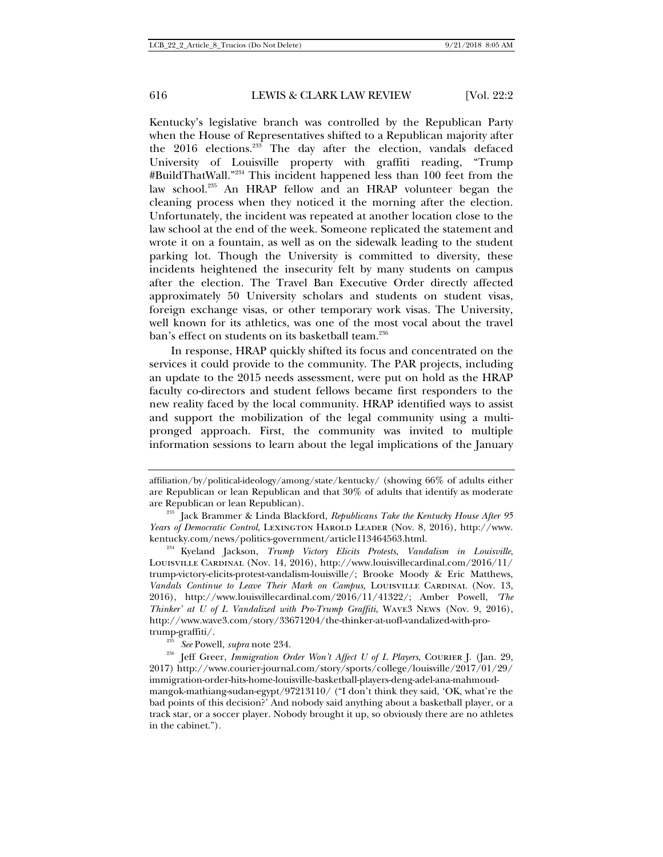Kentucky's legislative branch was controlled by the Republican Party when the House of Representatives shifted to a Republican majority after the 2016 elections.<sup>233</sup> The day after the election, vandals defaced University of Louisville property with graffiti reading, "Trump #BuildThatWall."234 This incident happened less than 100 feet from the law school.<sup>235</sup> An HRAP fellow and an HRAP volunteer began the cleaning process when they noticed it the morning after the election. Unfortunately, the incident was repeated at another location close to the law school at the end of the week. Someone replicated the statement and wrote it on a fountain, as well as on the sidewalk leading to the student parking lot. Though the University is committed to diversity, these incidents heightened the insecurity felt by many students on campus after the election. The Travel Ban Executive Order directly affected approximately 50 University scholars and students on student visas, foreign exchange visas, or other temporary work visas. The University, well known for its athletics, was one of the most vocal about the travel ban's effect on students on its basketball team.<sup>236</sup>

In response, HRAP quickly shifted its focus and concentrated on the services it could provide to the community. The PAR projects, including an update to the 2015 needs assessment, were put on hold as the HRAP faculty co-directors and student fellows became first responders to the new reality faced by the local community. HRAP identified ways to assist and support the mobilization of the legal community using a multipronged approach. First, the community was invited to multiple information sessions to learn about the legal implications of the January

affiliation/by/political-ideology/among/state/kentucky/ (showing 66% of adults either are Republican or lean Republican and that 30% of adults that identify as moderate are Republican or lean Republican). 233 Jack Brammer & Linda Blackford, *Republicans Take the Kentucky House After 95* 

*Years of Democratic Control*, Lexington Harold Leader (Nov. 8, 2016), http://www. kentucky.com/news/politics-government/article113464563.html. 234 Kyeland Jackson, *Trump Victory Elicits Protests, Vandalism in Louisville*,

Louisville Cardinal (Nov. 14, 2016), http://www.louisvillecardinal.com/2016/11/ trump-victory-elicits-protest-vandalism-louisville/; Brooke Moody & Eric Matthews, *Vandals Continue to Leave Their Mark on Campus*, LOUISVILLE CARDINAL (Nov. 13, 2016), http://www.louisvillecardinal.com/2016/11/41322/; Amber Powell, *'The Thinker' at U of L Vandalized with Pro-Trump Graffiti*, Wave3 News (Nov. 9, 2016), http://www.wave3.com/story/33671204/the-thinker-at-uofl-vandalized-with-pro-

trump-graffiti/. 235 *See* Powell, *supra* note 234. 236 Jeff Greer, *Immigration Order Won't Affect U of L Players*, Courier <sup>J</sup>. (Jan. 29, 2017) http://www.courier-journal.com/story/sports/college/louisville/2017/01/29/ immigration-order-hits-home-louisville-basketball-players-deng-adel-ana-mahmoudmangok-mathiang-sudan-egypt/97213110/ ("I don't think they said, 'OK, what're the bad points of this decision?' And nobody said anything about a basketball player, or a track star, or a soccer player. Nobody brought it up, so obviously there are no athletes in the cabinet.").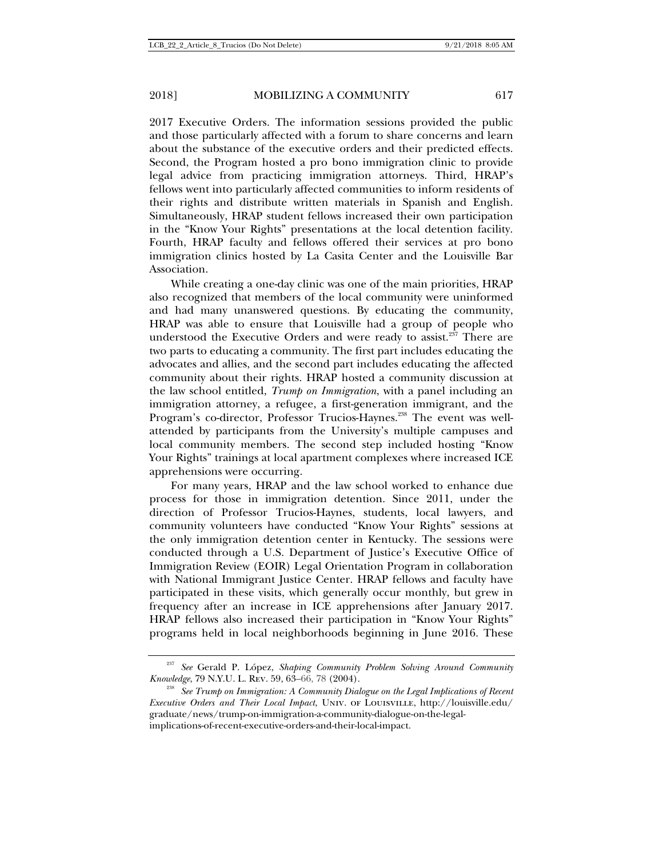2017 Executive Orders. The information sessions provided the public and those particularly affected with a forum to share concerns and learn about the substance of the executive orders and their predicted effects. Second, the Program hosted a pro bono immigration clinic to provide legal advice from practicing immigration attorneys. Third, HRAP's fellows went into particularly affected communities to inform residents of their rights and distribute written materials in Spanish and English. Simultaneously, HRAP student fellows increased their own participation in the "Know Your Rights" presentations at the local detention facility. Fourth, HRAP faculty and fellows offered their services at pro bono immigration clinics hosted by La Casita Center and the Louisville Bar Association.

While creating a one-day clinic was one of the main priorities, HRAP also recognized that members of the local community were uninformed and had many unanswered questions. By educating the community, HRAP was able to ensure that Louisville had a group of people who understood the Executive Orders and were ready to assist.<sup>237</sup> There are two parts to educating a community. The first part includes educating the advocates and allies, and the second part includes educating the affected community about their rights. HRAP hosted a community discussion at the law school entitled, *Trump on Immigration*, with a panel including an immigration attorney, a refugee, a first-generation immigrant, and the Program's co-director, Professor Trucios-Haynes.<sup>238</sup> The event was wellattended by participants from the University's multiple campuses and local community members. The second step included hosting "Know Your Rights" trainings at local apartment complexes where increased ICE apprehensions were occurring.

For many years, HRAP and the law school worked to enhance due process for those in immigration detention. Since 2011, under the direction of Professor Trucios-Haynes, students, local lawyers, and community volunteers have conducted "Know Your Rights" sessions at the only immigration detention center in Kentucky. The sessions were conducted through a U.S. Department of Justice's Executive Office of Immigration Review (EOIR) Legal Orientation Program in collaboration with National Immigrant Justice Center. HRAP fellows and faculty have participated in these visits, which generally occur monthly, but grew in frequency after an increase in ICE apprehensions after January 2017. HRAP fellows also increased their participation in "Know Your Rights" programs held in local neighborhoods beginning in June 2016. These

<sup>237</sup> *See* Gerald P. López, *Shaping Community Problem Solving Around Community Knowledge*, 79 N.Y.U. L. Rev. 59, 63–66, 78 (2004). 238 *See Trump on Immigration: A Community Dialogue on the Legal Implications of Recent* 

*Executive Orders and Their Local Impact*, Univ. of Louisville, http://louisville.edu/ graduate/news/trump-on-immigration-a-community-dialogue-on-the-legalimplications-of-recent-executive-orders-and-their-local-impact.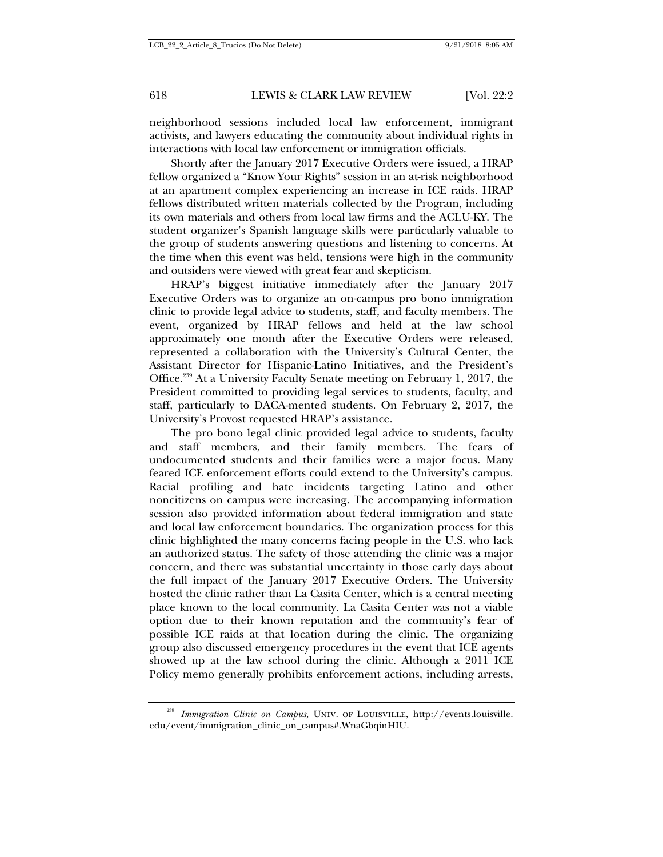neighborhood sessions included local law enforcement, immigrant activists, and lawyers educating the community about individual rights in interactions with local law enforcement or immigration officials.

Shortly after the January 2017 Executive Orders were issued, a HRAP fellow organized a "Know Your Rights" session in an at-risk neighborhood at an apartment complex experiencing an increase in ICE raids. HRAP fellows distributed written materials collected by the Program, including its own materials and others from local law firms and the ACLU-KY. The student organizer's Spanish language skills were particularly valuable to the group of students answering questions and listening to concerns. At the time when this event was held, tensions were high in the community and outsiders were viewed with great fear and skepticism.

HRAP's biggest initiative immediately after the January 2017 Executive Orders was to organize an on-campus pro bono immigration clinic to provide legal advice to students, staff, and faculty members. The event, organized by HRAP fellows and held at the law school approximately one month after the Executive Orders were released, represented a collaboration with the University's Cultural Center, the Assistant Director for Hispanic-Latino Initiatives, and the President's Office.239 At a University Faculty Senate meeting on February 1, 2017, the President committed to providing legal services to students, faculty, and staff, particularly to DACA-mented students. On February 2, 2017, the University's Provost requested HRAP's assistance.

The pro bono legal clinic provided legal advice to students, faculty and staff members, and their family members. The fears of undocumented students and their families were a major focus. Many feared ICE enforcement efforts could extend to the University's campus. Racial profiling and hate incidents targeting Latino and other noncitizens on campus were increasing. The accompanying information session also provided information about federal immigration and state and local law enforcement boundaries. The organization process for this clinic highlighted the many concerns facing people in the U.S. who lack an authorized status. The safety of those attending the clinic was a major concern, and there was substantial uncertainty in those early days about the full impact of the January 2017 Executive Orders. The University hosted the clinic rather than La Casita Center, which is a central meeting place known to the local community. La Casita Center was not a viable option due to their known reputation and the community's fear of possible ICE raids at that location during the clinic. The organizing group also discussed emergency procedures in the event that ICE agents showed up at the law school during the clinic. Although a 2011 ICE Policy memo generally prohibits enforcement actions, including arrests,

<sup>&</sup>lt;sup>239</sup> Immigration Clinic on Campus, UNIV. OF LOUISVILLE, http://events.louisville. edu/event/immigration\_clinic\_on\_campus#.WnaGbqinHIU.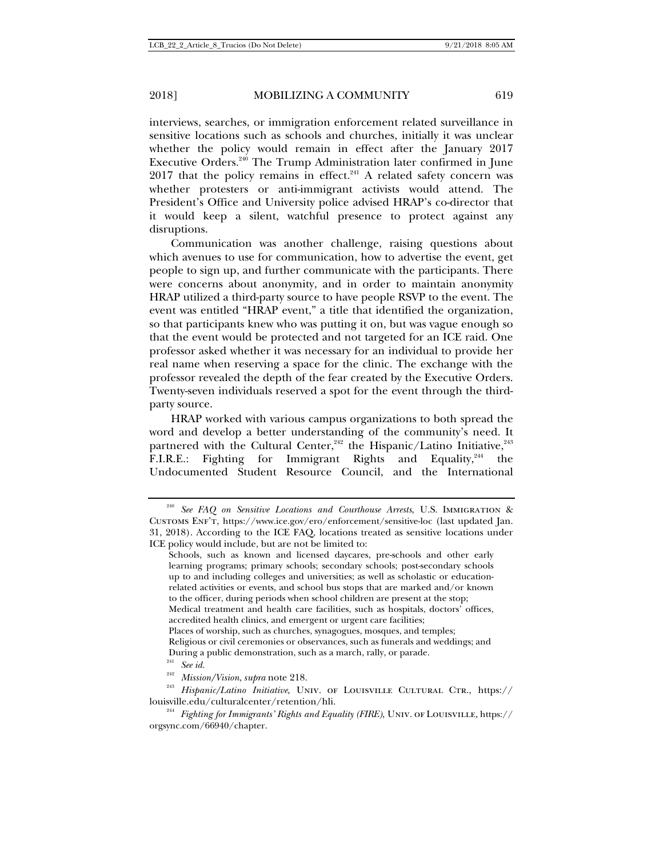interviews, searches, or immigration enforcement related surveillance in sensitive locations such as schools and churches, initially it was unclear whether the policy would remain in effect after the January 2017 Executive Orders.<sup>240</sup> The Trump Administration later confirmed in June  $2017$  that the policy remains in effect.<sup>241</sup> A related safety concern was whether protesters or anti-immigrant activists would attend. The President's Office and University police advised HRAP's co-director that it would keep a silent, watchful presence to protect against any disruptions.

Communication was another challenge, raising questions about which avenues to use for communication, how to advertise the event, get people to sign up, and further communicate with the participants. There were concerns about anonymity, and in order to maintain anonymity HRAP utilized a third-party source to have people RSVP to the event. The event was entitled "HRAP event," a title that identified the organization, so that participants knew who was putting it on, but was vague enough so that the event would be protected and not targeted for an ICE raid. One professor asked whether it was necessary for an individual to provide her real name when reserving a space for the clinic. The exchange with the professor revealed the depth of the fear created by the Executive Orders. Twenty-seven individuals reserved a spot for the event through the thirdparty source.

HRAP worked with various campus organizations to both spread the word and develop a better understanding of the community's need. It partnered with the Cultural Center,<sup>242</sup> the Hispanic/Latino Initiative, $243$ F.I.R.E.: Fighting for Immigrant Rights and Equality,<sup>244</sup> the Undocumented Student Resource Council, and the International

<sup>240</sup> *See FAQ on Sensitive Locations and Courthouse Arrests*, U.S. Immigration & Customs Enf't, https://www.ice.gov/ero/enforcement/sensitive-loc (last updated Jan. 31, 2018). According to the ICE FAQ, locations treated as sensitive locations under ICE policy would include, but are not be limited to:

Schools, such as known and licensed daycares, pre-schools and other early learning programs; primary schools; secondary schools; post-secondary schools up to and including colleges and universities; as well as scholastic or educationrelated activities or events, and school bus stops that are marked and/or known to the officer, during periods when school children are present at the stop; Medical treatment and health care facilities, such as hospitals, doctors' offices, accredited health clinics, and emergent or urgent care facilities; Places of worship, such as churches, synagogues, mosques, and temples; Religious or civil ceremonies or observances, such as funerals and weddings; and

During a public demonstration, such as a march, rally, or parade.<br><sup>241</sup> *See id. Mission/Vision, supra* note 218.

<sup>242</sup> *Mission/Vision*, *supra* note 218. 243 *Hispanic/Latino Initiative*, Univ. of Louisville Cultural Ctr., https:// louisville.edu/culturalcenter/retention/hli. 244 *Fighting for Immigrants' Rights and Equality (FIRE)*, Univ. of Louisville, https://

orgsync.com/66940/chapter.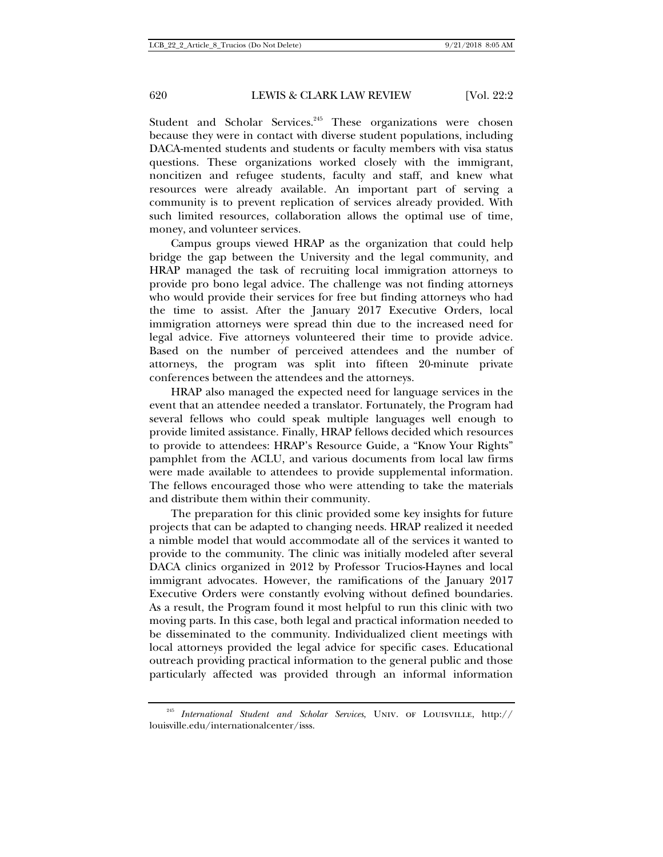Student and Scholar Services.<sup>245</sup> These organizations were chosen because they were in contact with diverse student populations, including DACA-mented students and students or faculty members with visa status questions. These organizations worked closely with the immigrant, noncitizen and refugee students, faculty and staff, and knew what resources were already available. An important part of serving a community is to prevent replication of services already provided. With such limited resources, collaboration allows the optimal use of time, money, and volunteer services.

Campus groups viewed HRAP as the organization that could help bridge the gap between the University and the legal community, and HRAP managed the task of recruiting local immigration attorneys to provide pro bono legal advice. The challenge was not finding attorneys who would provide their services for free but finding attorneys who had the time to assist. After the January 2017 Executive Orders, local immigration attorneys were spread thin due to the increased need for legal advice. Five attorneys volunteered their time to provide advice. Based on the number of perceived attendees and the number of attorneys, the program was split into fifteen 20-minute private conferences between the attendees and the attorneys.

HRAP also managed the expected need for language services in the event that an attendee needed a translator. Fortunately, the Program had several fellows who could speak multiple languages well enough to provide limited assistance. Finally, HRAP fellows decided which resources to provide to attendees: HRAP's Resource Guide, a "Know Your Rights" pamphlet from the ACLU, and various documents from local law firms were made available to attendees to provide supplemental information. The fellows encouraged those who were attending to take the materials and distribute them within their community.

The preparation for this clinic provided some key insights for future projects that can be adapted to changing needs. HRAP realized it needed a nimble model that would accommodate all of the services it wanted to provide to the community. The clinic was initially modeled after several DACA clinics organized in 2012 by Professor Trucios-Haynes and local immigrant advocates. However, the ramifications of the January 2017 Executive Orders were constantly evolving without defined boundaries. As a result, the Program found it most helpful to run this clinic with two moving parts. In this case, both legal and practical information needed to be disseminated to the community. Individualized client meetings with local attorneys provided the legal advice for specific cases. Educational outreach providing practical information to the general public and those particularly affected was provided through an informal information

<sup>245</sup> *International Student and Scholar Services*, Univ. of Louisville, http:// louisville.edu/internationalcenter/isss.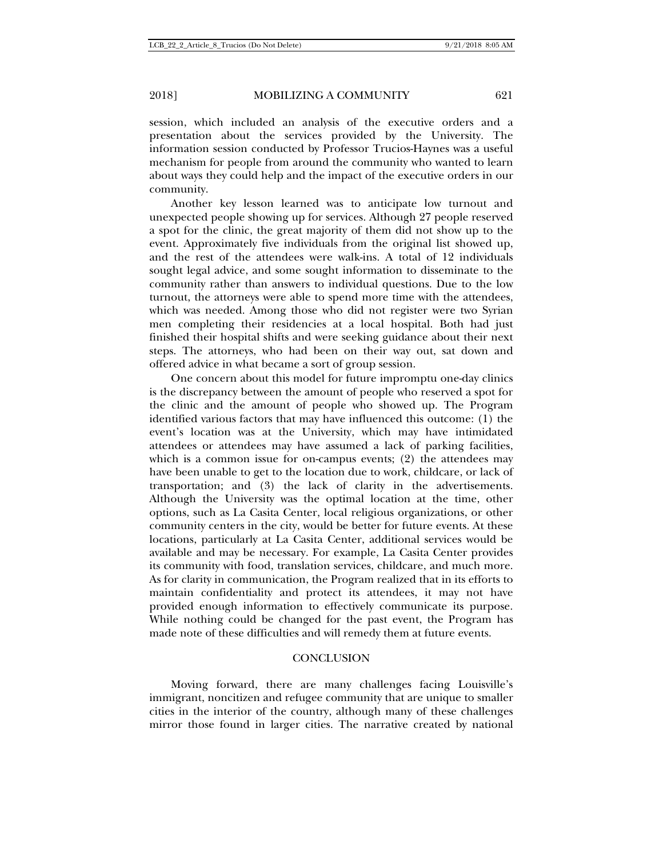session, which included an analysis of the executive orders and a presentation about the services provided by the University. The information session conducted by Professor Trucios-Haynes was a useful mechanism for people from around the community who wanted to learn about ways they could help and the impact of the executive orders in our community.

Another key lesson learned was to anticipate low turnout and unexpected people showing up for services. Although 27 people reserved a spot for the clinic, the great majority of them did not show up to the event. Approximately five individuals from the original list showed up, and the rest of the attendees were walk-ins. A total of 12 individuals sought legal advice, and some sought information to disseminate to the community rather than answers to individual questions. Due to the low turnout, the attorneys were able to spend more time with the attendees, which was needed. Among those who did not register were two Syrian men completing their residencies at a local hospital. Both had just finished their hospital shifts and were seeking guidance about their next steps. The attorneys, who had been on their way out, sat down and offered advice in what became a sort of group session.

One concern about this model for future impromptu one-day clinics is the discrepancy between the amount of people who reserved a spot for the clinic and the amount of people who showed up. The Program identified various factors that may have influenced this outcome: (1) the event's location was at the University, which may have intimidated attendees or attendees may have assumed a lack of parking facilities, which is a common issue for on-campus events; (2) the attendees may have been unable to get to the location due to work, childcare, or lack of transportation; and (3) the lack of clarity in the advertisements. Although the University was the optimal location at the time, other options, such as La Casita Center, local religious organizations, or other community centers in the city, would be better for future events. At these locations, particularly at La Casita Center, additional services would be available and may be necessary. For example, La Casita Center provides its community with food, translation services, childcare, and much more. As for clarity in communication, the Program realized that in its efforts to maintain confidentiality and protect its attendees, it may not have provided enough information to effectively communicate its purpose. While nothing could be changed for the past event, the Program has made note of these difficulties and will remedy them at future events.

### **CONCLUSION**

Moving forward, there are many challenges facing Louisville's immigrant, noncitizen and refugee community that are unique to smaller cities in the interior of the country, although many of these challenges mirror those found in larger cities. The narrative created by national